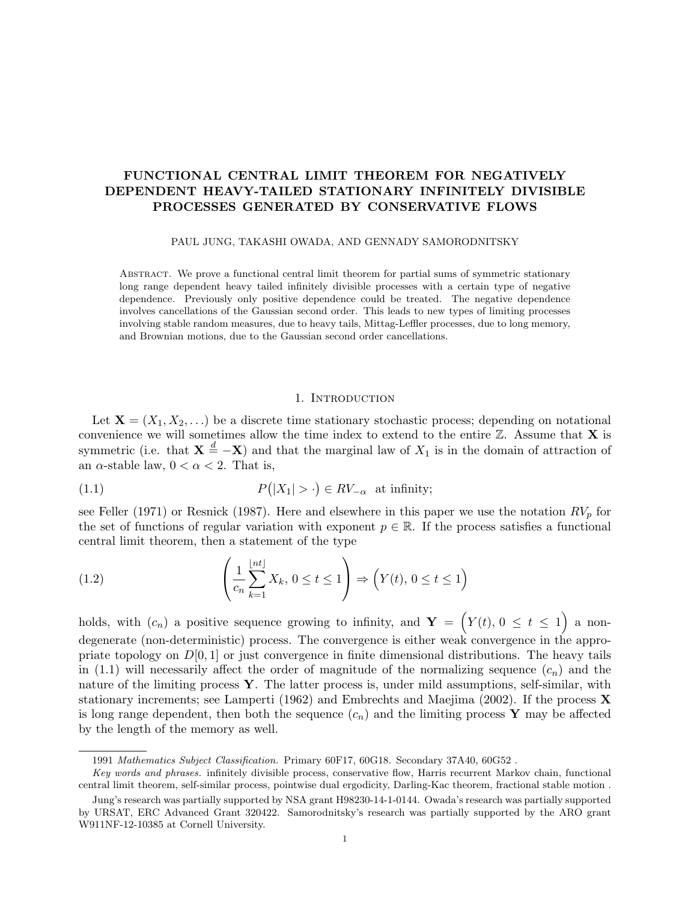# FUNCTIONAL CENTRAL LIMIT THEOREM FOR NEGATIVELY DEPENDENT HEAVY-TAILED STATIONARY INFINITELY DIVISIBLE PROCESSES GENERATED BY CONSERVATIVE FLOWS

PAUL JUNG, TAKASHI OWADA, AND GENNADY SAMORODNITSKY

ABSTRACT. We prove a functional central limit theorem for partial sums of symmetric stationary long range dependent heavy tailed infinitely divisible processes with a certain type of negative dependence. Previously only positive dependence could be treated. The negative dependence involves cancellations of the Gaussian second order. This leads to new types of limiting processes involving stable random measures, due to heavy tails, Mittag-Leffler processes, due to long memory, and Brownian motions, due to the Gaussian second order cancellations.

#### 1. INTRODUCTION

Let  $\mathbf{X} = (X_1, X_2, \ldots)$  be a discrete time stationary stochastic process; depending on notational convenience we will sometimes allow the time index to extend to the entire  $\mathbb{Z}$ . Assume that **X** is symmetric (i.e. that  $\mathbf{X} \stackrel{d}{=} -\mathbf{X}$ ) and that the marginal law of  $X_1$  is in the domain of attraction of an  $\alpha$ -stable law,  $0 < \alpha < 2$ . That is,

(1.1) 
$$
P(|X_1| > \cdot) \in RV_{-\alpha} \text{ at infinity;}
$$

see Feller (1971) or Resnick (1987). Here and elsewhere in this paper we use the notation  $RV_p$  for the set of functions of regular variation with exponent  $p \in \mathbb{R}$ . If the process satisfies a functional central limit theorem, then a statement of the type

(1.2) 
$$
\left(\frac{1}{c_n}\sum_{k=1}^{\lfloor nt \rfloor} X_k, 0 \le t \le 1\right) \Rightarrow \left(Y(t), 0 \le t \le 1\right)
$$

holds, with  $(c_n)$  a positive sequence growing to infinity, and  $\mathbf{Y} = \left(Y(t), 0 \le t \le 1\right)$  a nondegenerate (non-deterministic) process. The convergence is either weak convergence in the appropriate topology on  $D[0, 1]$  or just convergence in finite dimensional distributions. The heavy tails in (1.1) will necessarily affect the order of magnitude of the normalizing sequence  $(c_n)$  and the nature of the limiting process  $\mathbf Y$ . The latter process is, under mild assumptions, self-similar, with stationary increments; see Lamperti (1962) and Embrechts and Maejima (2002). If the process  $\bf{X}$ is long range dependent, then both the sequence  $(c_n)$  and the limiting process Y may be affected by the length of the memory as well.

<sup>1991</sup> Mathematics Subject Classification. Primary 60F17, 60G18. Secondary 37A40, 60G52 .

Key words and phrases. infinitely divisible process, conservative flow, Harris recurrent Markov chain, functional central limit theorem, self-similar process, pointwise dual ergodicity, Darling-Kac theorem, fractional stable motion .

Jung's research was partially supported by NSA grant H98230-14-1-0144. Owada's research was partially supported by URSAT, ERC Advanced Grant 320422. Samorodnitsky's research was partially supported by the ARO grant W911NF-12-10385 at Cornell University.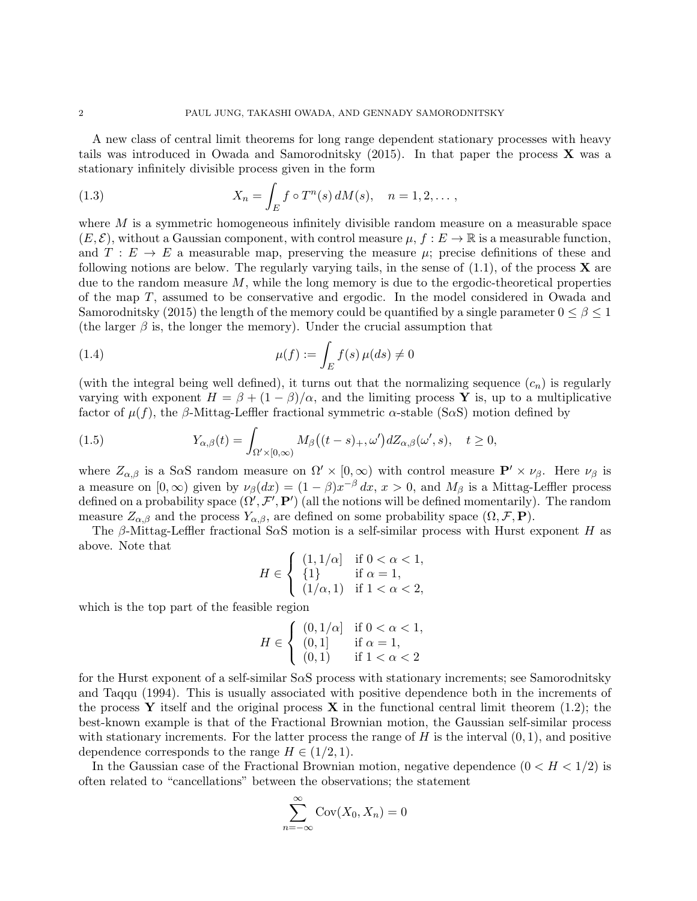A new class of central limit theorems for long range dependent stationary processes with heavy tails was introduced in Owada and Samorodnitsky  $(2015)$ . In that paper the process **X** was a stationary infinitely divisible process given in the form

(1.3) 
$$
X_n = \int_E f \circ T^n(s) dM(s), \quad n = 1, 2, \dots,
$$

where  $M$  is a symmetric homogeneous infinitely divisible random measure on a measurable space  $(E, \mathcal{E})$ , without a Gaussian component, with control measure  $\mu$ ,  $f : E \to \mathbb{R}$  is a measurable function, and  $T : E \to E$  a measurable map, preserving the measure  $\mu$ ; precise definitions of these and following notions are below. The regularly varying tails, in the sense of  $(1.1)$ , of the process **X** are due to the random measure  $M$ , while the long memory is due to the ergodic-theoretical properties of the map T, assumed to be conservative and ergodic. In the model considered in Owada and Samorodnitsky (2015) the length of the memory could be quantified by a single parameter  $0 \le \beta \le 1$ (the larger  $\beta$  is, the longer the memory). Under the crucial assumption that

(1.4) 
$$
\mu(f) := \int_E f(s) \,\mu(ds) \neq 0
$$

(with the integral being well defined), it turns out that the normalizing sequence  $(c_n)$  is regularly varying with exponent  $H = \beta + (1 - \beta)/\alpha$ , and the limiting process Y is, up to a multiplicative factor of  $\mu(f)$ , the β-Mittag-Leffler fractional symmetric  $\alpha$ -stable (S $\alpha$ S) motion defined by

(1.5) 
$$
Y_{\alpha,\beta}(t) = \int_{\Omega' \times [0,\infty)} M_{\beta}\big((t-s)_{+}, \omega'\big)dZ_{\alpha,\beta}(\omega',s), \quad t \ge 0,
$$

where  $Z_{\alpha,\beta}$  is a S $\alpha$ S random measure on  $\Omega' \times [0,\infty)$  with control measure  $\mathbf{P}' \times \nu_{\beta}$ . Here  $\nu_{\beta}$  is a measure on  $[0, \infty)$  given by  $\nu_{\beta}(dx) = (1 - \beta)x^{-\beta} dx$ ,  $x > 0$ , and  $M_{\beta}$  is a Mittag-Leffler process defined on a probability space  $(\Omega', \mathcal{F}', \mathbf{P}')$  (all the notions will be defined momentarily). The random measure  $Z_{\alpha,\beta}$  and the process  $Y_{\alpha,\beta}$ , are defined on some probability space  $(\Omega,\mathcal{F},\mathbf{P})$ .

The  $\beta$ -Mittag-Leffler fractional S $\alpha$ S motion is a self-similar process with Hurst exponent H as above. Note that

$$
H \in \left\{ \begin{array}{ll} (1,1/\alpha] & \text{if } 0 < \alpha < 1, \\ \{1\} & \text{if } \alpha = 1, \\ (1/\alpha,1) & \text{if } 1 < \alpha < 2, \end{array} \right.
$$

which is the top part of the feasible region

$$
H \in \left\{ \begin{array}{ll} (0,1/\alpha] & \text{if } 0 < \alpha < 1, \\ (0,1) & \text{if } \alpha = 1, \\ (0,1) & \text{if } 1 < \alpha < 2 \end{array} \right.
$$

for the Hurst exponent of a self-similar SαS process with stationary increments; see Samorodnitsky and Taqqu (1994). This is usually associated with positive dependence both in the increments of the process Y itself and the original process X in the functional central limit theorem  $(1.2)$ ; the best-known example is that of the Fractional Brownian motion, the Gaussian self-similar process with stationary increments. For the latter process the range of  $H$  is the interval  $(0, 1)$ , and positive dependence corresponds to the range  $H \in (1/2, 1)$ .

In the Gaussian case of the Fractional Brownian motion, negative dependence  $(0 < H < 1/2)$  is often related to "cancellations" between the observations; the statement

$$
\sum_{n=-\infty}^{\infty} \text{Cov}(X_0, X_n) = 0
$$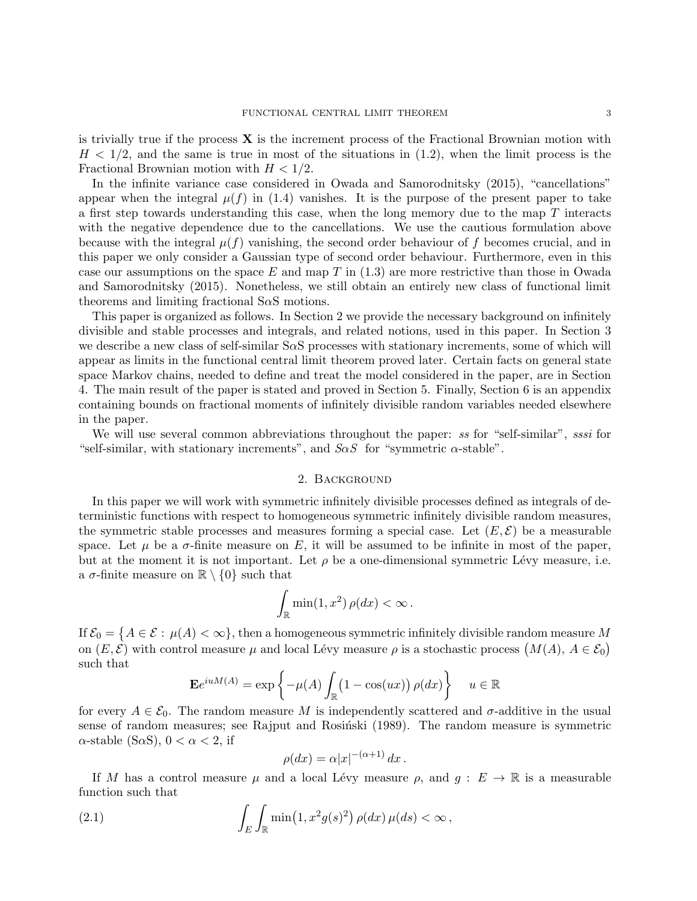is trivially true if the process  $X$  is the increment process of the Fractional Brownian motion with  $H < 1/2$ , and the same is true in most of the situations in (1.2), when the limit process is the Fractional Brownian motion with  $H < 1/2$ .

In the infinite variance case considered in Owada and Samorodnitsky (2015), "cancellations" appear when the integral  $\mu(f)$  in (1.4) vanishes. It is the purpose of the present paper to take a first step towards understanding this case, when the long memory due to the map  $T$  interacts with the negative dependence due to the cancellations. We use the cautious formulation above because with the integral  $\mu(f)$  vanishing, the second order behaviour of f becomes crucial, and in this paper we only consider a Gaussian type of second order behaviour. Furthermore, even in this case our assumptions on the space E and map T in  $(1.3)$  are more restrictive than those in Owada and Samorodnitsky (2015). Nonetheless, we still obtain an entirely new class of functional limit theorems and limiting fractional  $S\alpha S$  motions.

This paper is organized as follows. In Section 2 we provide the necessary background on infinitely divisible and stable processes and integrals, and related notions, used in this paper. In Section 3 we describe a new class of self-similar  $S\alpha S$  processes with stationary increments, some of which will appear as limits in the functional central limit theorem proved later. Certain facts on general state space Markov chains, needed to define and treat the model considered in the paper, are in Section 4. The main result of the paper is stated and proved in Section 5. Finally, Section 6 is an appendix containing bounds on fractional moments of infinitely divisible random variables needed elsewhere in the paper.

We will use several common abbreviations throughout the paper: ss for "self-similar", sssi for "self-similar, with stationary increments", and  $S \alpha S$  for "symmetric  $\alpha$ -stable".

## 2. Background

In this paper we will work with symmetric infinitely divisible processes defined as integrals of deterministic functions with respect to homogeneous symmetric infinitely divisible random measures, the symmetric stable processes and measures forming a special case. Let  $(E, \mathcal{E})$  be a measurable space. Let  $\mu$  be a  $\sigma$ -finite measure on E, it will be assumed to be infinite in most of the paper, but at the moment it is not important. Let  $\rho$  be a one-dimensional symmetric Lévy measure, i.e. a  $\sigma$ -finite measure on  $\mathbb{R} \setminus \{0\}$  such that

$$
\int_{\mathbb{R}} \min(1, x^2) \, \rho(dx) < \infty \, .
$$

If  $\mathcal{E}_0=\big\{A\in\mathcal{E}:\,\mu(A)<\infty\big\},$  then a homogeneous symmetric infinitely divisible random measure  $M$ on  $(E, \mathcal{E})$  with control measure  $\mu$  and local Lévy measure  $\rho$  is a stochastic process  $(M(A), A \in \mathcal{E}_0)$ such that

$$
\mathbf{E}e^{iuM(A)} = \exp\left\{-\mu(A)\int_{\mathbb{R}}\left(1 - \cos(ux)\right)\rho(dx)\right\} \quad u \in \mathbb{R}
$$

for every  $A \in \mathcal{E}_0$ . The random measure M is independently scattered and  $\sigma$ -additive in the usual sense of random measures; see Rajput and Rosiński (1989). The random measure is symmetric  $\alpha$ -stable (S $\alpha$ S),  $0 < \alpha < 2$ , if

$$
\rho(dx) = \alpha |x|^{-(\alpha+1)} dx.
$$

If M has a control measure  $\mu$  and a local Lévy measure  $\rho$ , and  $g : E \to \mathbb{R}$  is a measurable function such that

(2.1) 
$$
\int_{E} \int_{\mathbb{R}} \min(1, x^2 g(s)^2) \rho(dx) \mu(ds) < \infty,
$$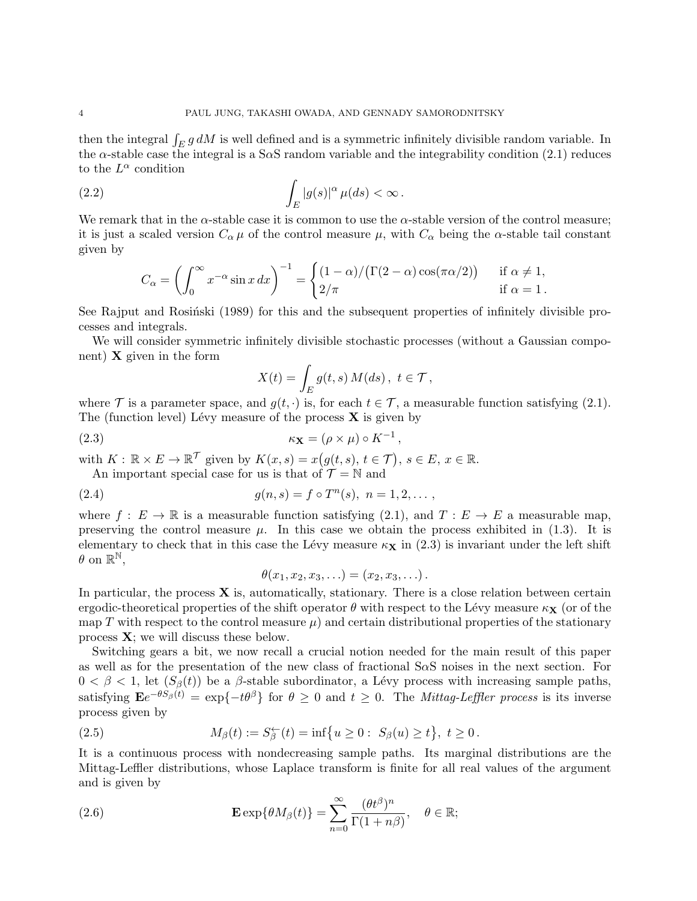then the integral  $\int_E g \, dM$  is well defined and is a symmetric infinitely divisible random variable. In the  $\alpha$ -stable case the integral is a S $\alpha$ S random variable and the integrability condition (2.1) reduces to the  $L^{\alpha}$  condition

(2.2) 
$$
\int_{E} |g(s)|^{\alpha} \mu(ds) < \infty.
$$

We remark that in the  $\alpha$ -stable case it is common to use the  $\alpha$ -stable version of the control measure; it is just a scaled version  $C_{\alpha} \mu$  of the control measure  $\mu$ , with  $C_{\alpha}$  being the  $\alpha$ -stable tail constant given by

$$
C_{\alpha} = \left(\int_0^{\infty} x^{-\alpha} \sin x \, dx\right)^{-1} = \begin{cases} (1-\alpha)/(\Gamma(2-\alpha)\cos(\pi\alpha/2)) & \text{if } \alpha \neq 1, \\ 2/\pi & \text{if } \alpha = 1. \end{cases}
$$

See Rajput and Rosiński (1989) for this and the subsequent properties of infinitely divisible processes and integrals.

We will consider symmetric infinitely divisible stochastic processes (without a Gaussian component)  $X$  given in the form

$$
X(t) = \int_E g(t, s) M(ds), \ t \in \mathcal{T},
$$

where T is a parameter space, and  $g(t, \cdot)$  is, for each  $t \in \mathcal{T}$ , a measurable function satisfying (2.1). The (function level) Lévy measure of the process  $X$  is given by

(2.3) 
$$
\kappa_{\mathbf{X}} = (\rho \times \mu) \circ K^{-1},
$$

with  $K: \mathbb{R} \times E \to \mathbb{R}^{\mathcal{T}}$  given by  $K(x, s) = x(g(t, s), t \in \mathcal{T}), s \in E, x \in \mathbb{R}$ .

An important special case for us is that of  $\mathcal{T} = \mathbb{N}$  and

(2.4) 
$$
g(n,s) = f \circ T^n(s), \ n = 1, 2, \dots,
$$

where  $f: E \to \mathbb{R}$  is a measurable function satisfying (2.1), and  $T: E \to E$  a measurable map, preserving the control measure  $\mu$ . In this case we obtain the process exhibited in (1.3). It is elementary to check that in this case the Lévy measure  $\kappa_{\mathbf{X}}$  in (2.3) is invariant under the left shift  $\theta$  on  $\mathbb{R}^{\mathbb{N}},$ 

$$
\theta(x_1,x_2,x_3,\ldots)=(x_2,x_3,\ldots).
$$

In particular, the process  $X$  is, automatically, stationary. There is a close relation between certain ergodic-theoretical properties of the shift operator  $\theta$  with respect to the Lévy measure  $\kappa_X$  (or of the map T with respect to the control measure  $\mu$ ) and certain distributional properties of the stationary process  $X$ ; we will discuss these below.

Switching gears a bit, we now recall a crucial notion needed for the main result of this paper as well as for the presentation of the new class of fractional  $S \alpha S$  noises in the next section. For  $0 < \beta < 1$ , let  $(S_{\beta}(t))$  be a  $\beta$ -stable subordinator, a Lévy process with increasing sample paths, satisfying  $\mathbf{E}e^{-\theta S_{\beta}(t)} = \exp\{-t\theta^{\beta}\}\$ for  $\theta \geq 0$  and  $t \geq 0$ . The *Mittag-Leffler process* is its inverse process given by

(2.5) 
$$
M_{\beta}(t) := S_{\beta}^{\leftarrow}(t) = \inf \{ u \ge 0 : S_{\beta}(u) \ge t \}, t \ge 0.
$$

It is a continuous process with nondecreasing sample paths. Its marginal distributions are the Mittag-Leffler distributions, whose Laplace transform is finite for all real values of the argument and is given by

(2.6) 
$$
\mathbf{E} \exp\{\theta M_{\beta}(t)\} = \sum_{n=0}^{\infty} \frac{(\theta t^{\beta})^n}{\Gamma(1+n\beta)}, \quad \theta \in \mathbb{R};
$$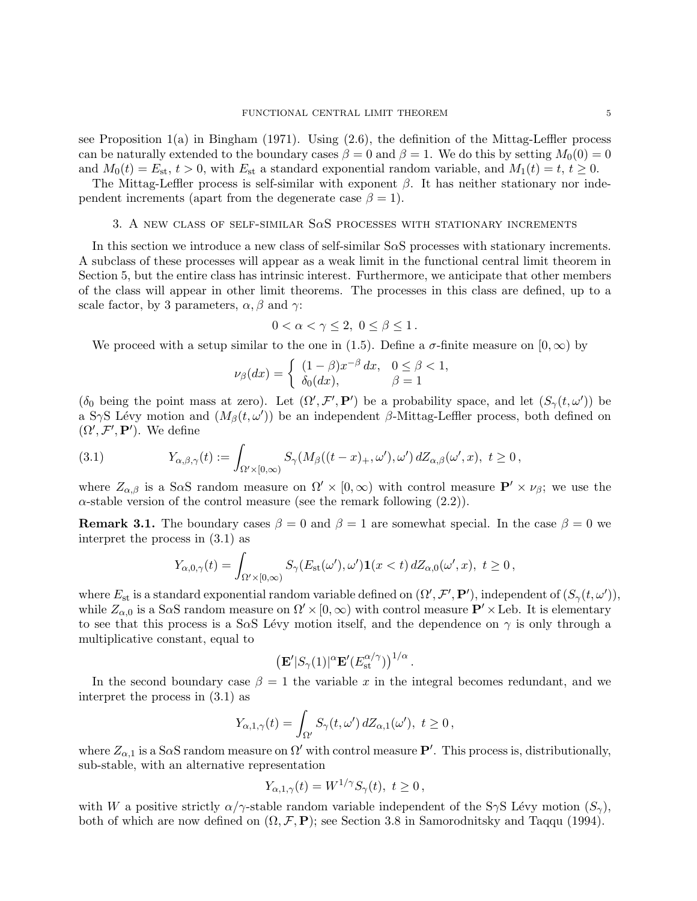see Proposition  $1(a)$  in Bingham (1971). Using  $(2.6)$ , the definition of the Mittag-Leffler process can be naturally extended to the boundary cases  $\beta = 0$  and  $\beta = 1$ . We do this by setting  $M_0(0) = 0$ and  $M_0(t) = E_{st}$ ,  $t > 0$ , with  $E_{st}$  a standard exponential random variable, and  $M_1(t) = t$ ,  $t \ge 0$ .

The Mittag-Leffler process is self-similar with exponent  $\beta$ . It has neither stationary nor independent increments (apart from the degenerate case  $\beta = 1$ ).

# 3. A new class of self-similar SαS processes with stationary increments

In this section we introduce a new class of self-similar S $\alpha$ S processes with stationary increments. A subclass of these processes will appear as a weak limit in the functional central limit theorem in Section 5, but the entire class has intrinsic interest. Furthermore, we anticipate that other members of the class will appear in other limit theorems. The processes in this class are defined, up to a scale factor, by 3 parameters,  $\alpha$ ,  $\beta$  and  $\gamma$ :

$$
0 < \alpha < \gamma \leq 2, \ 0 \leq \beta \leq 1 \, .
$$

We proceed with a setup similar to the one in (1.5). Define a  $\sigma$ -finite measure on  $[0, \infty)$  by

$$
\nu_{\beta}(dx) = \begin{cases} (1-\beta)x^{-\beta} dx, & 0 \le \beta < 1, \\ \delta_0(dx), & \beta = 1 \end{cases}
$$

( $\delta_0$  being the point mass at zero). Let  $(\Omega', \mathcal{F}', \mathbf{P}')$  be a probability space, and let  $(S_\gamma(t, \omega'))$  be a SγS Lévy motion and  $(M_\beta(t, \omega'))$  be an independent β-Mittag-Leffler process, both defined on  $(\Omega', \mathcal{F}', \mathbf{P}')$ . We define

(3.1) 
$$
Y_{\alpha,\beta,\gamma}(t) := \int_{\Omega' \times [0,\infty)} S_{\gamma}(M_{\beta}((t-x)_+,\omega'),\omega') dZ_{\alpha,\beta}(\omega',x), \ t \ge 0,
$$

where  $Z_{\alpha,\beta}$  is a SaS random measure on  $\Omega' \times [0,\infty)$  with control measure  $\mathbf{P}' \times \nu_{\beta}$ ; we use the  $\alpha$ -stable version of the control measure (see the remark following  $(2.2)$ ).

**Remark 3.1.** The boundary cases  $\beta = 0$  and  $\beta = 1$  are somewhat special. In the case  $\beta = 0$  we interpret the process in (3.1) as

$$
Y_{\alpha,0,\gamma}(t) = \int_{\Omega' \times [0,\infty)} S_{\gamma}(E_{\text{st}}(\omega'),\omega') \mathbf{1}(x < t) dZ_{\alpha,0}(\omega',x), \ t \ge 0,
$$

where  $E_{\text{st}}$  is a standard exponential random variable defined on  $(\Omega', \mathcal{F}', \mathbf{P}')$ , independent of  $(S_{\gamma}(t, \omega'))$ , while  $Z_{\alpha,0}$  is a S $\alpha$ S random measure on  $\Omega' \times [0,\infty)$  with control measure  $\mathbf{P}' \times$  Leb. It is elementary to see that this process is a S $\alpha$ S Lévy motion itself, and the dependence on  $\gamma$  is only through a multiplicative constant, equal to

$$
\left(\mathbf{E}'|S_{\gamma}(1)|^{\alpha}\mathbf{E}'(E_{\rm st}^{\alpha/\gamma})\right)^{1/\alpha}.
$$

In the second boundary case  $\beta = 1$  the variable x in the integral becomes redundant, and we interpret the process in (3.1) as

$$
Y_{\alpha,1,\gamma}(t) = \int_{\Omega'} S_{\gamma}(t,\omega') dZ_{\alpha,1}(\omega'), t \ge 0,
$$

where  $Z_{\alpha,1}$  is a S $\alpha$ S random measure on  $\Omega'$  with control measure  $\mathbf{P}'$ . This process is, distributionally, sub-stable, with an alternative representation

$$
Y_{\alpha,1,\gamma}(t) = W^{1/\gamma} S_{\gamma}(t), \ t \ge 0,
$$

with W a positive strictly  $\alpha/\gamma$ -stable random variable independent of the SγS Lévy motion  $(S_{\gamma})$ , both of which are now defined on  $(\Omega, \mathcal{F}, \mathbf{P})$ ; see Section 3.8 in Samorodnitsky and Taqqu (1994).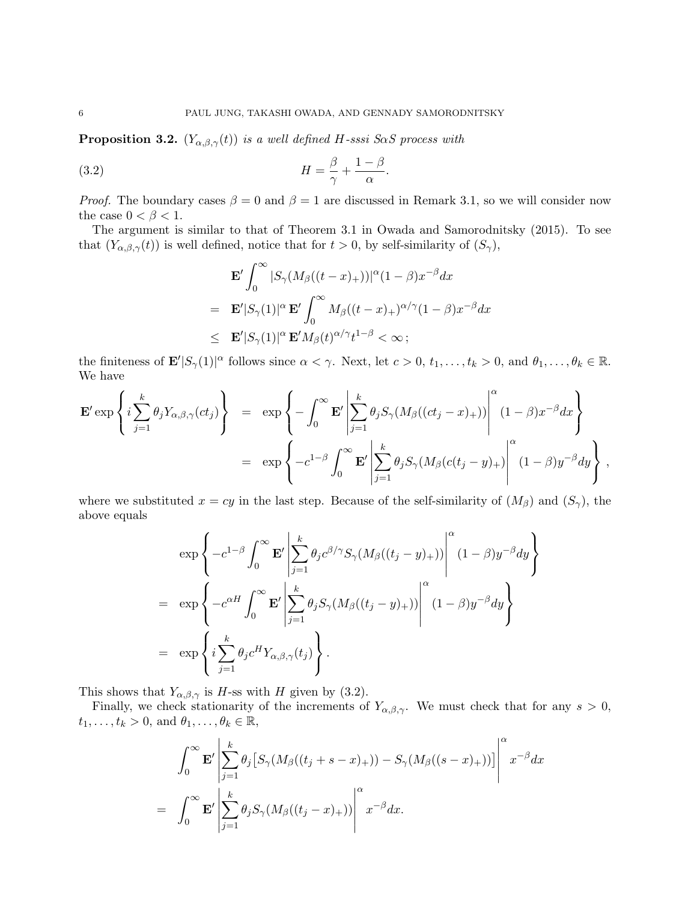**Proposition 3.2.**  $(Y_{\alpha,\beta,\gamma}(t))$  is a well defined H-sssi SaS process with

(3.2) 
$$
H = \frac{\beta}{\gamma} + \frac{1-\beta}{\alpha}.
$$

*Proof.* The boundary cases  $\beta = 0$  and  $\beta = 1$  are discussed in Remark 3.1, so we will consider now the case  $0 < \beta < 1$ .

The argument is similar to that of Theorem 3.1 in Owada and Samorodnitsky (2015). To see that  $(Y_{\alpha,\beta,\gamma}(t))$  is well defined, notice that for  $t > 0$ , by self-similarity of  $(S_{\gamma})$ ,

$$
\mathbf{E}' \int_0^\infty |S_\gamma(M_\beta((t-x)_+))|^\alpha (1-\beta) x^{-\beta} dx
$$
  
\n
$$
= \mathbf{E}' |S_\gamma(1)|^\alpha \mathbf{E}' \int_0^\infty M_\beta((t-x)_+)^{\alpha/\gamma} (1-\beta) x^{-\beta} dx
$$
  
\n
$$
\leq \mathbf{E}' |S_\gamma(1)|^\alpha \mathbf{E}' M_\beta(t)^{\alpha/\gamma} t^{1-\beta} < \infty ;
$$

the finiteness of  $\mathbf{E}'|S_{\gamma}(1)|^{\alpha}$  follows since  $\alpha < \gamma$ . Next, let  $c > 0$ ,  $t_1, \ldots, t_k > 0$ , and  $\theta_1, \ldots, \theta_k \in \mathbb{R}$ . We have

$$
\mathbf{E}' \exp\left\{i\sum_{j=1}^{k} \theta_j Y_{\alpha,\beta,\gamma}(ct_j)\right\} = \exp\left\{-\int_0^\infty \mathbf{E}' \left|\sum_{j=1}^{k} \theta_j S_\gamma(M_\beta((ct_j - x)_{+}))\right|^\alpha (1 - \beta) x^{-\beta} dx\right\}
$$
  

$$
= \exp\left\{-c^{1-\beta} \int_0^\infty \mathbf{E}' \left|\sum_{j=1}^{k} \theta_j S_\gamma(M_\beta(c(t_j - y)_{+})\right|^\alpha (1 - \beta) y^{-\beta} dy\right\},\right\}
$$

where we substituted  $x = cy$  in the last step. Because of the self-similarity of  $(M_\beta)$  and  $(S_\gamma)$ , the above equals

$$
\exp\left\{-c^{1-\beta}\int_0^\infty \mathbf{E}'\left|\sum_{j=1}^k \theta_j c^{\beta/\gamma} S_\gamma(M_\beta((t_j-y)_+))\right|^\alpha (1-\beta)y^{-\beta}dy\right\}
$$
  
\n
$$
= \exp\left\{-c^{\alpha H} \int_0^\infty \mathbf{E}'\left|\sum_{j=1}^k \theta_j S_\gamma(M_\beta((t_j-y)_+))\right|^\alpha (1-\beta)y^{-\beta}dy\right\}
$$
  
\n
$$
= \exp\left\{i\sum_{j=1}^k \theta_j c^H Y_{\alpha,\beta,\gamma}(t_j)\right\}.
$$

This shows that  $Y_{\alpha,\beta,\gamma}$  is H-ss with H given by (3.2).

Finally, we check stationarity of the increments of  $Y_{\alpha,\beta,\gamma}$ . We must check that for any  $s > 0$ ,  $t_1, \ldots, t_k > 0$ , and  $\theta_1, \ldots, \theta_k \in \mathbb{R}$ ,

$$
\int_0^\infty \mathbf{E}' \left| \sum_{j=1}^k \theta_j \left[ S_\gamma(M_\beta((t_j + s - x)_+)) - S_\gamma(M_\beta((s - x)_+)) \right] \right|^\alpha x^{-\beta} dx
$$
  
= 
$$
\int_0^\infty \mathbf{E}' \left| \sum_{j=1}^k \theta_j S_\gamma(M_\beta((t_j - x)_+)) \right|^\alpha x^{-\beta} dx.
$$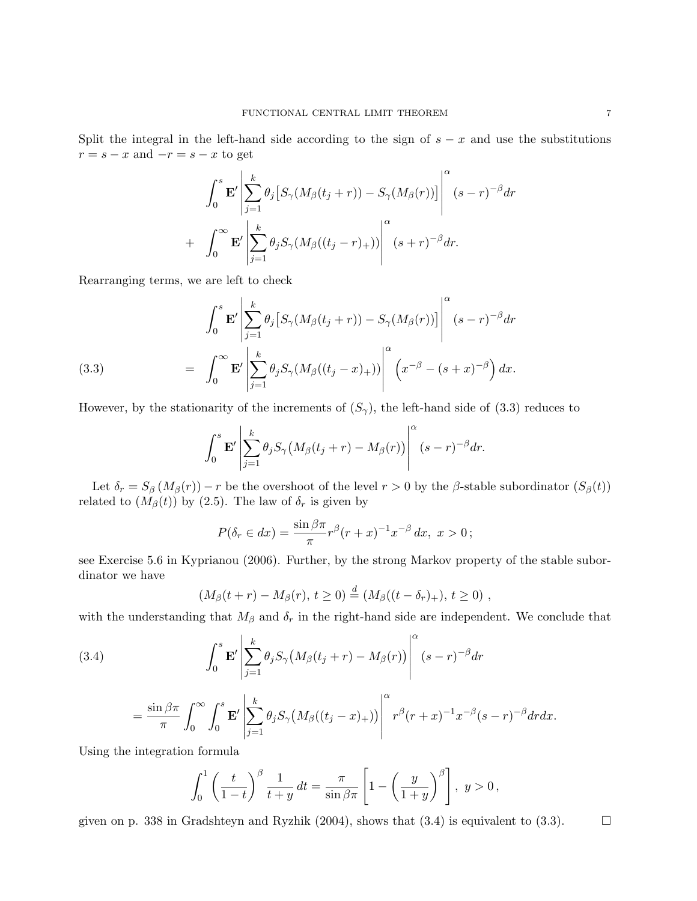Split the integral in the left-hand side according to the sign of  $s - x$  and use the substitutions  $r = s - x$  and  $-r = s - x$  to get

$$
\int_0^s \mathbf{E}' \left| \sum_{j=1}^k \theta_j \left[ S_\gamma(M_\beta(t_j+r)) - S_\gamma(M_\beta(r)) \right] \right|^\alpha (s-r)^{-\beta} dr
$$
  
+ 
$$
\int_0^\infty \mathbf{E}' \left| \sum_{j=1}^k \theta_j S_\gamma(M_\beta((t_j-r)_+)) \right|^\alpha (s+r)^{-\beta} dr.
$$

Rearranging terms, we are left to check

(3.3)  

$$
\int_0^s \mathbf{E}' \left| \sum_{j=1}^k \theta_j \left[ S_\gamma(M_\beta(t_j+r)) - S_\gamma(M_\beta(r)) \right] \right|^\alpha (s-r)^{-\beta} dr
$$

$$
= \int_0^\infty \mathbf{E}' \left| \sum_{j=1}^k \theta_j S_\gamma(M_\beta((t_j-x)_+)) \right|^\alpha \left( x^{-\beta} - (s+x)^{-\beta} \right) dx.
$$

However, by the stationarity of the increments of  $(S_{\gamma})$ , the left-hand side of (3.3) reduces to

$$
\int_0^s \mathbf{E}' \left| \sum_{j=1}^k \theta_j S_\gamma \big(M_\beta(t_j+r) - M_\beta(r)\big)\right|^\alpha (s-r)^{-\beta} dr.
$$

Let  $\delta_r = S_\beta \left(M_\beta(r)\right) - r$  be the overshoot of the level  $r > 0$  by the  $\beta$ -stable subordinator  $\left(S_\beta(t)\right)$ related to  $(M_\beta(t))$  by (2.5). The law of  $\delta_r$  is given by

$$
P(\delta_r \in dx) = \frac{\sin \beta \pi}{\pi} r^{\beta} (r+x)^{-1} x^{-\beta} dx, \ x > 0;
$$

see Exercise 5.6 in Kyprianou (2006). Further, by the strong Markov property of the stable subordinator we have

$$
(M_{\beta}(t+r) - M_{\beta}(r), t \ge 0) \stackrel{d}{=} (M_{\beta}((t-\delta_r)_+), t \ge 0) ,
$$

with the understanding that  $M_{\beta}$  and  $\delta_r$  in the right-hand side are independent. We conclude that

(3.4) 
$$
\int_0^s \mathbf{E}' \left| \sum_{j=1}^k \theta_j S_\gamma \big(M_\beta(t_j+r) - M_\beta(r)\big) \right|^\alpha (s-r)^{-\beta} dr
$$

$$
= \frac{\sin \beta \pi}{\pi} \int_0^\infty \int_0^s \mathbf{E}' \left| \sum_{j=1}^k \theta_j S_\gamma \big( M_\beta((t_j - x)_{+}) \big) \right|^\alpha r^\beta (r + x)^{-1} x^{-\beta} (s - r)^{-\beta} dr dx.
$$

Using the integration formula

$$
\int_0^1 \left(\frac{t}{1-t}\right)^{\beta} \frac{1}{t+y} dt = \frac{\pi}{\sin \beta \pi} \left[1 - \left(\frac{y}{1+y}\right)^{\beta}\right], \ y > 0,
$$

given on p. 338 in Gradshteyn and Ryzhik (2004), shows that  $(3.4)$  is equivalent to  $(3.3)$ .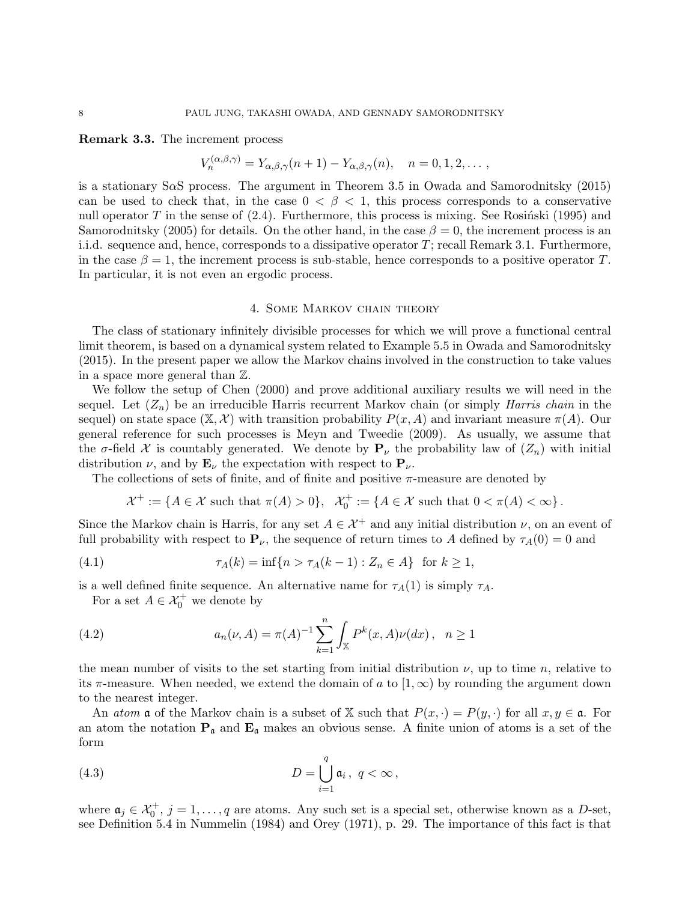Remark 3.3. The increment process

$$
V_n^{(\alpha,\beta,\gamma)} = Y_{\alpha,\beta,\gamma}(n+1) - Y_{\alpha,\beta,\gamma}(n), \quad n = 0, 1, 2, \dots,
$$

is a stationary SαS process. The argument in Theorem 3.5 in Owada and Samorodnitsky (2015) can be used to check that, in the case  $0 < \beta < 1$ , this process corresponds to a conservative null operator T in the sense of  $(2.4)$ . Furthermore, this process is mixing. See Rosinski (1995) and Samorodnitsky (2005) for details. On the other hand, in the case  $\beta = 0$ , the increment process is an i.i.d. sequence and, hence, corresponds to a dissipative operator  $T$ ; recall Remark 3.1. Furthermore, in the case  $\beta = 1$ , the increment process is sub-stable, hence corresponds to a positive operator T. In particular, it is not even an ergodic process.

#### 4. Some Markov chain theory

The class of stationary infinitely divisible processes for which we will prove a functional central limit theorem, is based on a dynamical system related to Example 5.5 in Owada and Samorodnitsky (2015). In the present paper we allow the Markov chains involved in the construction to take values in a space more general than Z.

We follow the setup of Chen (2000) and prove additional auxiliary results we will need in the sequel. Let  $(Z_n)$  be an irreducible Harris recurrent Markov chain (or simply *Harris chain* in the sequel) on state space  $(\mathbb{X}, \mathcal{X})$  with transition probability  $P(x, A)$  and invariant measure  $\pi(A)$ . Our general reference for such processes is Meyn and Tweedie (2009). As usually, we assume that the  $\sigma$ -field X is countably generated. We denote by  $P_{\nu}$  the probability law of  $(Z_n)$  with initial distribution  $\nu$ , and by  $\mathbf{E}_{\nu}$  the expectation with respect to  $\mathbf{P}_{\nu}$ .

The collections of sets of finite, and of finite and positive  $\pi$ -measure are denoted by

$$
\mathcal{X}^+:=\{A\in\mathcal{X}\text{ such that }\pi(A)>0\},\ \ \mathcal{X}_0^+:=\{A\in\mathcal{X}\text{ such that }0<\pi(A)<\infty\}\,.
$$

Since the Markov chain is Harris, for any set  $A \in \mathcal{X}^+$  and any initial distribution  $\nu$ , on an event of full probability with respect to  $\mathbf{P}_{\nu}$ , the sequence of return times to A defined by  $\tau_A(0) = 0$  and

(4.1) 
$$
\tau_A(k) = \inf\{n > \tau_A(k-1) : Z_n \in A\} \text{ for } k \ge 1,
$$

is a well defined finite sequence. An alternative name for  $\tau_A(1)$  is simply  $\tau_A$ .

For a set  $A \in \mathcal{X}_0^+$  we denote by

(4.2) 
$$
a_n(\nu, A) = \pi(A)^{-1} \sum_{k=1}^n \int_{\mathbb{X}} P^k(x, A) \nu(dx), \quad n \ge 1
$$

the mean number of visits to the set starting from initial distribution  $\nu$ , up to time n, relative to its  $\pi$ -measure. When needed, we extend the domain of a to  $(1,\infty)$  by rounding the argument down to the nearest integer.

An *atom*  $\mathfrak a$  of the Markov chain is a subset of X such that  $P(x, \cdot) = P(y, \cdot)$  for all  $x, y \in \mathfrak a$ . For an atom the notation  $P_a$  and  $E_a$  makes an obvious sense. A finite union of atoms is a set of the form

(4.3) 
$$
D = \bigcup_{i=1}^{q} \mathfrak{a}_i, \ q < \infty,
$$

where  $a_j \in \mathcal{X}_0^+$ ,  $j = 1, \ldots, q$  are atoms. Any such set is a special set, otherwise known as a D-set, see Definition 5.4 in Nummelin (1984) and Orey (1971), p. 29. The importance of this fact is that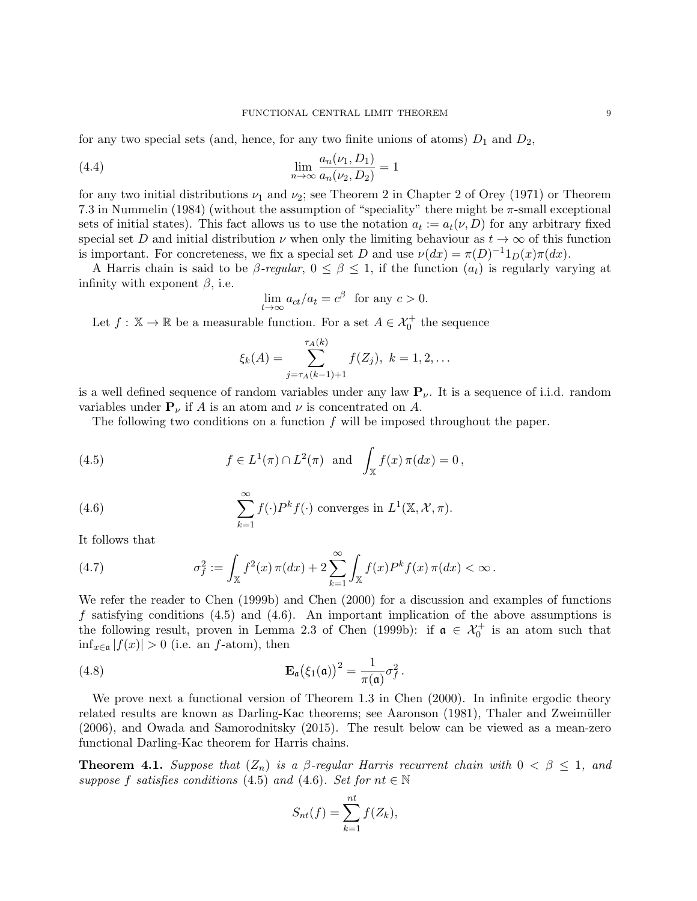for any two special sets (and, hence, for any two finite unions of atoms)  $D_1$  and  $D_2$ ,

(4.4) 
$$
\lim_{n \to \infty} \frac{a_n(\nu_1, D_1)}{a_n(\nu_2, D_2)} = 1
$$

for any two initial distributions  $\nu_1$  and  $\nu_2$ ; see Theorem 2 in Chapter 2 of Orey (1971) or Theorem 7.3 in Nummelin (1984) (without the assumption of "speciality" there might be  $\pi$ -small exceptional sets of initial states). This fact allows us to use the notation  $a_t := a_t(\nu, D)$  for any arbitrary fixed special set D and initial distribution  $\nu$  when only the limiting behaviour as  $t \to \infty$  of this function is important. For concreteness, we fix a special set D and use  $\nu(dx) = \pi(D)^{-1}1_D(x)\pi(dx)$ .

A Harris chain is said to be  $\beta$ -regular,  $0 \leq \beta \leq 1$ , if the function  $(a_t)$  is regularly varying at infinity with exponent  $\beta$ , i.e.

$$
\lim_{t \to \infty} a_{ct}/a_t = c^{\beta} \text{ for any } c > 0.
$$

Let  $f: \mathbb{X} \to \mathbb{R}$  be a measurable function. For a set  $A \in \mathcal{X}_0^+$  the sequence

$$
\xi_k(A) = \sum_{j=\tau_A(k-1)+1}^{\tau_A(k)} f(Z_j), \ k = 1, 2, \ldots
$$

is a well defined sequence of random variables under any law  $P_{\nu}$ . It is a sequence of i.i.d. random variables under  $P_{\nu}$  if A is an atom and  $\nu$  is concentrated on A.

The following two conditions on a function  $f$  will be imposed throughout the paper.

(4.5) 
$$
f \in L^1(\pi) \cap L^2(\pi)
$$
 and  $\int_{\mathbb{X}} f(x) \pi(dx) = 0$ ,

(4.6) 
$$
\sum_{k=1}^{\infty} f(\cdot) P^{k} f(\cdot) \text{ converges in } L^{1}(\mathbb{X}, \mathcal{X}, \pi).
$$

It follows that

(4.7) 
$$
\sigma_f^2 := \int_{\mathbb{X}} f^2(x) \, \pi(dx) + 2 \sum_{k=1}^{\infty} \int_{\mathbb{X}} f(x) P^k f(x) \, \pi(dx) < \infty \, .
$$

We refer the reader to Chen (1999b) and Chen (2000) for a discussion and examples of functions f satisfying conditions  $(4.5)$  and  $(4.6)$ . An important implication of the above assumptions is the following result, proven in Lemma 2.3 of Chen (1999b): if  $\alpha \in \mathcal{X}_0^+$  is an atom such that  $\inf_{x \in \mathfrak{a}} |f(x)| > 0$  (i.e. an f-atom), then

(4.8) 
$$
\mathbf{E}_{\mathfrak{a}}(\xi_1(\mathfrak{a}))^2 = \frac{1}{\pi(\mathfrak{a})}\sigma_f^2.
$$

We prove next a functional version of Theorem 1.3 in Chen (2000). In infinite ergodic theory related results are known as Darling-Kac theorems; see Aaronson (1981), Thaler and Zweimüller (2006), and Owada and Samorodnitsky (2015). The result below can be viewed as a mean-zero functional Darling-Kac theorem for Harris chains.

**Theorem 4.1.** Suppose that  $(Z_n)$  is a  $\beta$ -regular Harris recurrent chain with  $0 < \beta \leq 1$ , and suppose f satisfies conditions (4.5) and (4.6). Set for  $nt \in \mathbb{N}$ 

$$
S_{nt}(f) = \sum_{k=1}^{nt} f(Z_k),
$$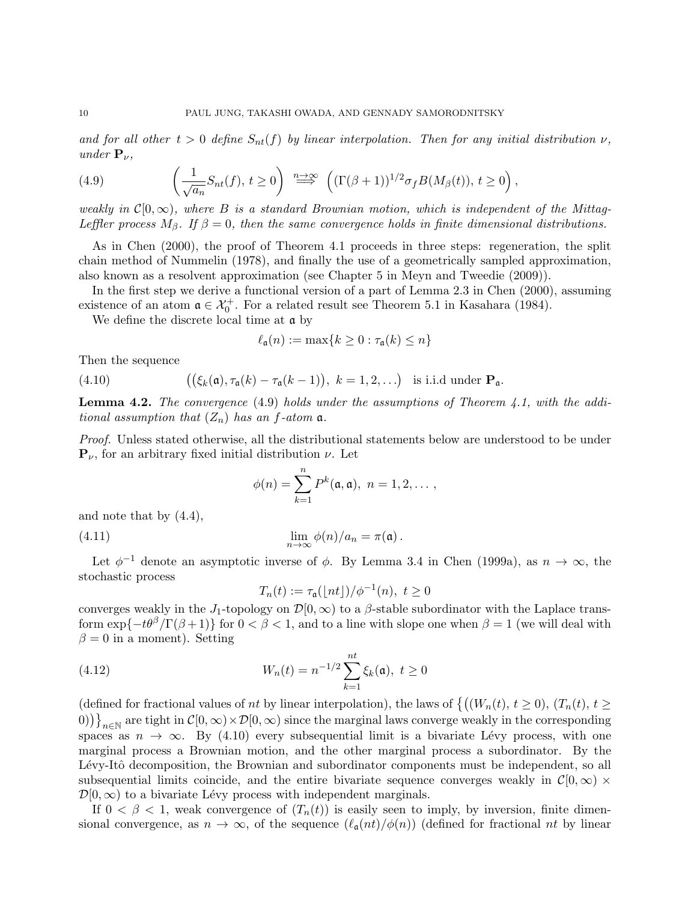and for all other  $t > 0$  define  $S_{nt}(f)$  by linear interpolation. Then for any initial distribution  $\nu$ , under  $\mathbf{P}_{\nu}$ ,

(4.9) 
$$
\left(\frac{1}{\sqrt{a_n}}S_{nt}(f), t \ge 0\right) \stackrel{n \to \infty}{\Longrightarrow} \left((\Gamma(\beta+1))^{1/2}\sigma_f B(M_\beta(t)), t \ge 0\right),
$$

weakly in  $C[0,\infty)$ , where B is a standard Brownian motion, which is independent of the Mittag-Leffler process  $M_{\beta}$ . If  $\beta = 0$ , then the same convergence holds in finite dimensional distributions.

As in Chen (2000), the proof of Theorem 4.1 proceeds in three steps: regeneration, the split chain method of Nummelin (1978), and finally the use of a geometrically sampled approximation, also known as a resolvent approximation (see Chapter 5 in Meyn and Tweedie (2009)).

In the first step we derive a functional version of a part of Lemma 2.3 in Chen (2000), assuming existence of an atom  $\mathfrak{a} \in \mathcal{X}_0^+$ . For a related result see Theorem 5.1 in Kasahara (1984).

We define the discrete local time at a by

$$
\ell_{\mathfrak{a}}(n) := \max\{k \ge 0 : \tau_{\mathfrak{a}}(k) \le n\}
$$

Then the sequence

(4.10) 
$$
((\xi_k(\mathfrak{a}), \tau_{\mathfrak{a}}(k) - \tau_{\mathfrak{a}}(k-1)), k = 1, 2, \ldots) \text{ is i.i.d under } \mathbf{P}_{\mathfrak{a}}.
$$

**Lemma 4.2.** The convergence  $(4.9)$  holds under the assumptions of Theorem 4.1, with the additional assumption that  $(Z_n)$  has an f-atom  $\mathfrak{a}$ .

Proof. Unless stated otherwise, all the distributional statements below are understood to be under  ${\bf P}_{\nu}$ , for an arbitrary fixed initial distribution  $\nu$ . Let

$$
\phi(n)=\sum_{k=1}^n P^k(\mathfrak{a},\mathfrak{a}),\ n=1,2,\ldots,
$$

and note that by (4.4),

(4.11) 
$$
\lim_{n \to \infty} \phi(n)/a_n = \pi(\mathfrak{a}).
$$

Let  $\phi^{-1}$  denote an asymptotic inverse of  $\phi$ . By Lemma 3.4 in Chen (1999a), as  $n \to \infty$ , the stochastic process

$$
T_n(t) := \tau_{\mathfrak{a}}(\lfloor nt \rfloor) / \phi^{-1}(n), \ t \ge 0
$$

converges weakly in the J<sub>1</sub>-topology on  $\mathcal{D}[0,\infty)$  to a  $\beta$ -stable subordinator with the Laplace transform  $\exp\{-t\theta^{\beta}/\Gamma(\beta+1)\}\$ for  $0 < \beta < 1$ , and to a line with slope one when  $\beta = 1$  (we will deal with  $\beta = 0$  in a moment). Setting

(4.12) 
$$
W_n(t) = n^{-1/2} \sum_{k=1}^{nt} \xi_k(\mathfrak{a}), \ t \ge 0
$$

(defined for fractional values of nt by linear interpolation), the laws of  $\{(W_n(t), t \geq 0), (T_n(t), t \geq 0)\}$  $(0)$ )  $\big\}_{n\in\mathbb{N}}$  are tight in  $\mathcal{C}[0,\infty)\times\mathcal{D}[0,\infty)$  since the marginal laws converge weakly in the corresponding spaces as  $n \to \infty$ . By (4.10) every subsequential limit is a bivariate Lévy process, with one marginal process a Brownian motion, and the other marginal process a subordinator. By the Lévy-Itô decomposition, the Brownian and subordinator components must be independent, so all subsequential limits coincide, and the entire bivariate sequence converges weakly in  $\mathcal{C}[0,\infty) \times$  $\mathcal{D}[0,\infty)$  to a bivariate Lévy process with independent marginals.

If  $0 < \beta < 1$ , weak convergence of  $(T_n(t))$  is easily seen to imply, by inversion, finite dimensional convergence, as  $n \to \infty$ , of the sequence  $(\ell_{\mathfrak{a}}(nt)/\phi(n))$  (defined for fractional nt by linear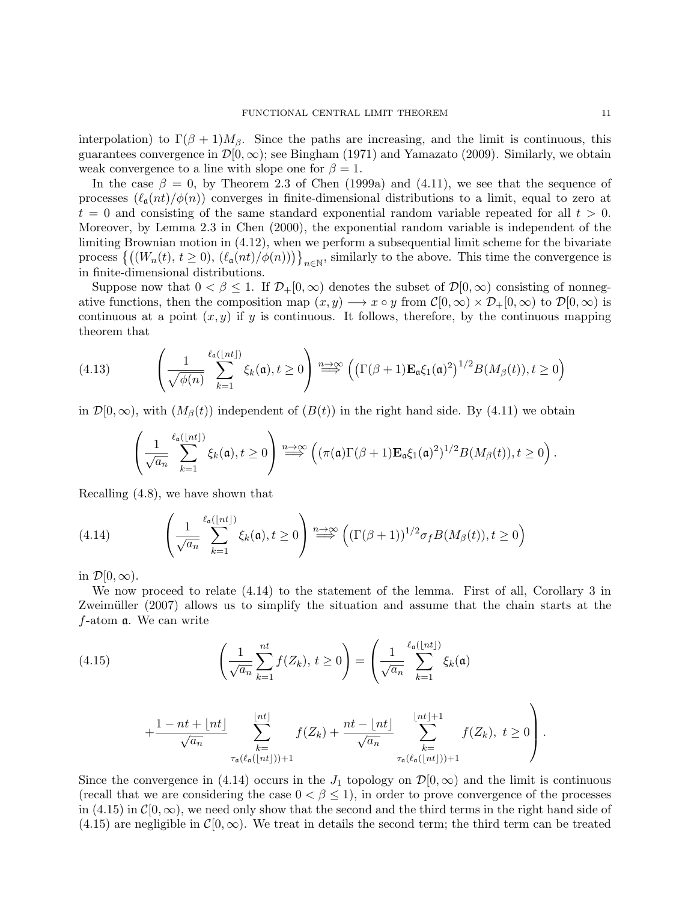interpolation) to  $\Gamma(\beta + 1)M_{\beta}$ . Since the paths are increasing, and the limit is continuous, this guarantees convergence in  $\mathcal{D}[0,\infty)$ ; see Bingham (1971) and Yamazato (2009). Similarly, we obtain weak convergence to a line with slope one for  $\beta = 1$ .

In the case  $\beta = 0$ , by Theorem 2.3 of Chen (1999a) and (4.11), we see that the sequence of processes  $(\ell_{\mathfrak{a}}(nt)/\phi(n))$  converges in finite-dimensional distributions to a limit, equal to zero at  $t = 0$  and consisting of the same standard exponential random variable repeated for all  $t > 0$ . Moreover, by Lemma 2.3 in Chen (2000), the exponential random variable is independent of the limiting Brownian motion in (4.12), when we perform a subsequential limit scheme for the bivariate process  $\{((W_n(t), t \ge 0), (\ell_{\mathfrak{a}}(nt)/\phi(n)))\}_{n \in \mathbb{N}},$  similarly to the above. This time the convergence is in finite-dimensional distributions.

Suppose now that  $0 < \beta \leq 1$ . If  $\mathcal{D}_+[0,\infty)$  denotes the subset of  $\mathcal{D}[0,\infty)$  consisting of nonnegative functions, then the composition map  $(x, y) \longrightarrow x \circ y$  from  $\mathcal{C}[0, \infty) \times \mathcal{D}_+[0, \infty)$  to  $\mathcal{D}[0, \infty)$  is continuous at a point  $(x, y)$  if y is continuous. It follows, therefore, by the continuous mapping theorem that

(4.13) 
$$
\left(\frac{1}{\sqrt{\phi(n)}}\sum_{k=1}^{\ell_{\mathfrak{a}}(\lfloor nt \rfloor)}\xi_{k}(\mathfrak{a}), t\geq 0\right) \stackrel{n\to\infty}{\Longrightarrow} \left(\left(\Gamma(\beta+1)\mathbf{E}_{\mathfrak{a}}\xi_{1}(\mathfrak{a})^{2}\right)^{1/2}B(M_{\beta}(t)), t\geq 0\right)
$$

in  $\mathcal{D}[0,\infty)$ , with  $(M_\beta(t))$  independent of  $(\mathcal{B}(t))$  in the right hand side. By (4.11) we obtain

$$
\left(\frac{1}{\sqrt{a_n}}\sum_{k=1}^{\ell_{\mathfrak{a}}(\lfloor nt \rfloor)}\xi_k(\mathfrak{a}),t\geq 0\right)\stackrel{n\to\infty}{\Longrightarrow}\left((\pi(\mathfrak{a})\Gamma(\beta+1)\mathbf{E}_{\mathfrak{a}}\xi_1(\mathfrak{a})^2)^{1/2}B(M_{\beta}(t)),t\geq 0\right).
$$

Recalling (4.8), we have shown that

(4.14) 
$$
\left(\frac{1}{\sqrt{a_n}}\sum_{k=1}^{\ell_{\mathfrak{a}}(\lfloor nt \rfloor)}\xi_k(\mathfrak{a}), t \geq 0\right) \stackrel{n \to \infty}{\Longrightarrow} \left((\Gamma(\beta+1))^{1/2}\sigma_f B(M_\beta(t)), t \geq 0\right)
$$

in  $\mathcal{D}[0,\infty)$ .

We now proceed to relate  $(4.14)$  to the statement of the lemma. First of all, Corollary 3 in Zweimüller (2007) allows us to simplify the situation and assume that the chain starts at the f-atom a. We can write

(4.15) 
$$
\left(\frac{1}{\sqrt{a_n}}\sum_{k=1}^{nt}f(Z_k), t\geq 0\right) = \left(\frac{1}{\sqrt{a_n}}\sum_{k=1}^{\ell_a(\lfloor nt \rfloor)}\xi_k(\mathfrak{a})\right)
$$

$$
+\frac{1-nt+\lfloor nt\rfloor}{\sqrt{a_n}}\sum_{\substack{k=\\ \tau_{\mathfrak{a}}(\ell_{\mathfrak{a}}(\lfloor nt\rfloor))+1}}^{\lfloor nt\rfloor}f(Z_k)+\frac{nt-\lfloor nt\rfloor}{\sqrt{a_n}}\sum_{\substack{k=\\ \tau_{\mathfrak{a}}(\ell_{\mathfrak{a}}(\lfloor nt\rfloor))+1}}^{\lfloor nt\rfloor+1}f(Z_k),\ t\geq 0\right).
$$

Since the convergence in (4.14) occurs in the  $J_1$  topology on  $\mathcal{D}[0,\infty)$  and the limit is continuous (recall that we are considering the case  $0 < \beta \leq 1$ ), in order to prove convergence of the processes in (4.15) in  $\mathcal{C}[0,\infty)$ , we need only show that the second and the third terms in the right hand side of  $(4.15)$  are negligible in  $\mathcal{C}[0,\infty)$ . We treat in details the second term; the third term can be treated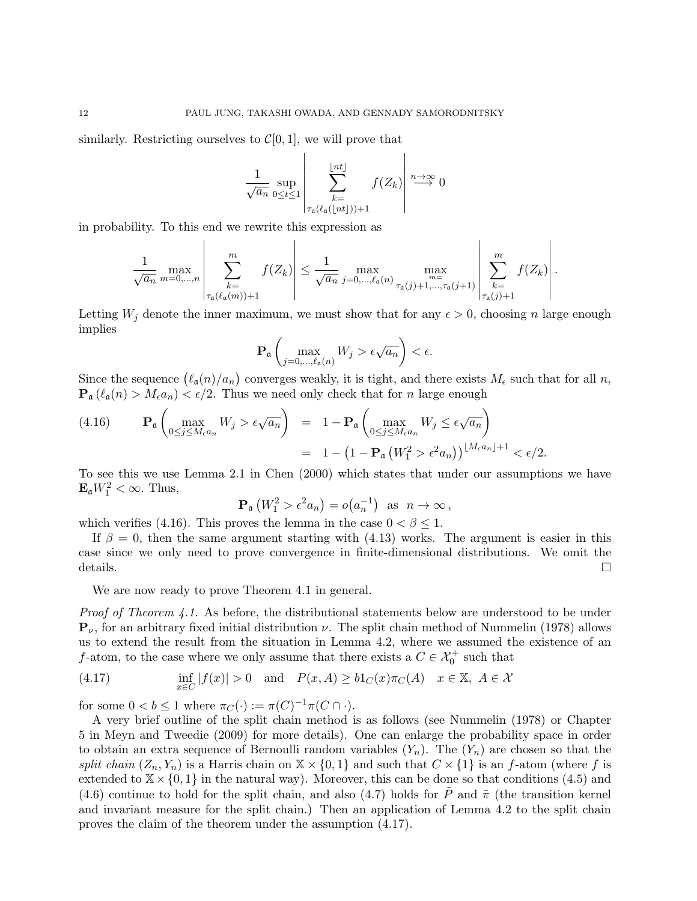similarly. Restricting ourselves to  $\mathcal{C}[0, 1]$ , we will prove that

$$
\frac{1}{\sqrt{a_n}} \sup_{0 \le t \le 1} \left| \sum_{\substack{k=1 \\ \tau_{\mathfrak{a}}(\ell_{\mathfrak{a}}(\lfloor nt \rfloor))+1}}^{\lfloor nt \rfloor} f(Z_k) \right| \stackrel{n \to \infty}{\longrightarrow} 0
$$

in probability. To this end we rewrite this expression as

$$
\frac{1}{\sqrt{a_n}} \max_{m=0,\ldots,n} \left| \sum_{\substack{k=1 \ \tau_{\mathfrak{a}}(\ell_{\mathfrak{a}}(m))+1}}^m f(Z_k) \right| \leq \frac{1}{\sqrt{a_n}} \max_{j=0,\ldots,\ell_{\mathfrak{a}}(n)} \max_{\tau_{\mathfrak{a}}(j)+1,\ldots,\tau_{\mathfrak{a}}(j+1)} \left| \sum_{\substack{k=1 \ \tau_{\mathfrak{a}}(j)+1}}^m f(Z_k) \right|.
$$

Letting  $W_i$  denote the inner maximum, we must show that for any  $\epsilon > 0$ , choosing n large enough implies

$$
\mathbf{P}_{\mathfrak{a}}\left(\max_{j=0,\ldots,\ell_{\mathfrak{a}}(n)}W_j > \epsilon\sqrt{a_n}\right) < \epsilon.
$$

Since the sequence  $(\ell_{\mathfrak{a}}(n)/a_n)$  converges weakly, it is tight, and there exists  $M_{\epsilon}$  such that for all n,  $\mathbf{P}_{\mathfrak{a}}(\ell_{\mathfrak{a}}(n) > M_{\epsilon}a_n) < \epsilon/2$ . Thus we need only check that for n large enough

$$
(4.16) \qquad \mathbf{P}_{\mathfrak{a}}\left(\max_{0\leq j\leq M_{\epsilon}a_{n}}W_{j} > \epsilon\sqrt{a_{n}}\right) = 1 - \mathbf{P}_{\mathfrak{a}}\left(\max_{0\leq j\leq M_{\epsilon}a_{n}}W_{j} \leq \epsilon\sqrt{a_{n}}\right)
$$

$$
= 1 - \left(1 - \mathbf{P}_{\mathfrak{a}}\left(W_{1}^{2} > \epsilon^{2}a_{n}\right)\right)^{\lfloor M_{\epsilon}a_{n}\rfloor + 1} < \epsilon/2.
$$

To see this we use Lemma 2.1 in Chen (2000) which states that under our assumptions we have  $\mathbf{E}_{\mathfrak{a}}W_1^2 < \infty$ . Thus,

$$
\mathbf{P}_{\mathfrak{a}}\left(W_1^2 > \epsilon^2 a_n\right) = o\big(a_n^{-1}\big) \text{ as } n \to \infty,
$$

which verifies (4.16). This proves the lemma in the case  $0 < \beta \leq 1$ .

If  $\beta = 0$ , then the same argument starting with (4.13) works. The argument is easier in this case since we only need to prove convergence in finite-dimensional distributions. We omit the details.

We are now ready to prove Theorem 4.1 in general.

Proof of Theorem 4.1. As before, the distributional statements below are understood to be under  ${\bf P}_{\nu}$ , for an arbitrary fixed initial distribution  $\nu$ . The split chain method of Nummelin (1978) allows us to extend the result from the situation in Lemma 4.2, where we assumed the existence of an *f*-atom, to the case where we only assume that there exists a  $C \in \mathcal{X}_0^+$  such that

(4.17) 
$$
\inf_{x \in C} |f(x)| > 0 \quad \text{and} \quad P(x, A) \geq b1_C(x)\pi_C(A) \quad x \in \mathbb{X}, \ A \in \mathcal{X}
$$

for some  $0 < b \le 1$  where  $\pi_C(\cdot) := \pi(C)^{-1}\pi(C \cap \cdot)$ .

A very brief outline of the split chain method is as follows (see Nummelin (1978) or Chapter 5 in Meyn and Tweedie (2009) for more details). One can enlarge the probability space in order to obtain an extra sequence of Bernoulli random variables  $(Y_n)$ . The  $(Y_n)$  are chosen so that the split chain  $(Z_n, Y_n)$  is a Harris chain on  $X \times \{0, 1\}$  and such that  $C \times \{1\}$  is an f-atom (where f is extended to  $X \times \{0,1\}$  in the natural way). Moreover, this can be done so that conditions (4.5) and (4.6) continue to hold for the split chain, and also (4.7) holds for  $\tilde{P}$  and  $\tilde{\pi}$  (the transition kernel and invariant measure for the split chain.) Then an application of Lemma 4.2 to the split chain proves the claim of the theorem under the assumption (4.17).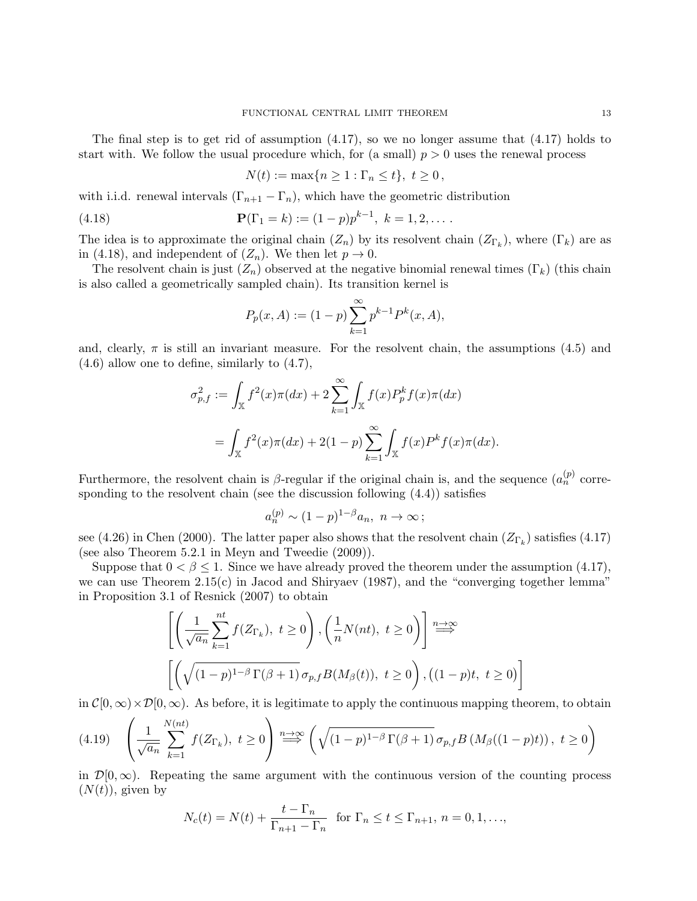The final step is to get rid of assumption (4.17), so we no longer assume that (4.17) holds to start with. We follow the usual procedure which, for (a small)  $p > 0$  uses the renewal process

$$
N(t) := \max\{n \ge 1 : \Gamma_n \le t\}, t \ge 0,
$$

with i.i.d. renewal intervals  $(\Gamma_{n+1} - \Gamma_n)$ , which have the geometric distribution

(4.18) 
$$
\mathbf{P}(\Gamma_1 = k) := (1-p)p^{k-1}, \ k = 1, 2, \dots
$$

The idea is to approximate the original chain  $(Z_n)$  by its resolvent chain  $(Z_{\Gamma_k})$ , where  $(\Gamma_k)$  are as in (4.18), and independent of  $(Z_n)$ . We then let  $p \to 0$ .

The resolvent chain is just  $(Z_n)$  observed at the negative binomial renewal times  $(\Gamma_k)$  (this chain is also called a geometrically sampled chain). Its transition kernel is

$$
P_p(x, A) := (1 - p) \sum_{k=1}^{\infty} p^{k-1} P^k(x, A),
$$

and, clearly,  $\pi$  is still an invariant measure. For the resolvent chain, the assumptions (4.5) and (4.6) allow one to define, similarly to (4.7),

$$
\sigma_{p,f}^2 := \int_{\mathbb{X}} f^2(x)\pi(dx) + 2\sum_{k=1}^{\infty} \int_{\mathbb{X}} f(x)P_p^k f(x)\pi(dx)
$$
  
= 
$$
\int_{\mathbb{X}} f^2(x)\pi(dx) + 2(1-p)\sum_{k=1}^{\infty} \int_{\mathbb{X}} f(x)P^k f(x)\pi(dx).
$$

Furthermore, the resolvent chain is  $\beta$ -regular if the original chain is, and the sequence  $(a_n^{(p)}$  corresponding to the resolvent chain (see the discussion following (4.4)) satisfies

$$
a_n^{(p)} \sim (1-p)^{1-\beta} a_n, \ n \to \infty \, ;
$$

see (4.26) in Chen (2000). The latter paper also shows that the resolvent chain  $(Z_{\Gamma_k})$  satisfies (4.17) (see also Theorem 5.2.1 in Meyn and Tweedie (2009)).

Suppose that  $0 < \beta \leq 1$ . Since we have already proved the theorem under the assumption (4.17), we can use Theorem 2.15(c) in Jacod and Shiryaev (1987), and the "converging together lemma" in Proposition 3.1 of Resnick (2007) to obtain

$$
\left[ \left( \frac{1}{\sqrt{a_n}} \sum_{k=1}^{nt} f(Z_{\Gamma_k}), \ t \ge 0 \right), \left( \frac{1}{n} N(nt), \ t \ge 0 \right) \right] \stackrel{n \to \infty}{\Longrightarrow}
$$
\n
$$
\left[ \left( \sqrt{(1-p)^{1-\beta} \Gamma(\beta+1)} \sigma_{p,f} B(M_\beta(t)), \ t \ge 0 \right), \left( (1-p)t, \ t \ge 0 \right) \right]
$$

in  $\mathcal{C}[0,\infty)\times\mathcal{D}[0,\infty)$ . As before, it is legitimate to apply the continuous mapping theorem, to obtain

$$
(4.19) \quad \left(\frac{1}{\sqrt{a_n}}\sum_{k=1}^{N(nt)}f(Z_{\Gamma_k}),\ t\geq 0\right) \stackrel{n\to\infty}{\Longrightarrow} \left(\sqrt{(1-p)^{1-\beta}\Gamma(\beta+1)}\,\sigma_{p,f}B\left(M_\beta((1-p)t)\right),\ t\geq 0\right)
$$

in  $\mathcal{D}[0,\infty)$ . Repeating the same argument with the continuous version of the counting process  $(N(t))$ , given by

$$
N_c(t) = N(t) + \frac{t - \Gamma_n}{\Gamma_{n+1} - \Gamma_n} \quad \text{for } \Gamma_n \le t \le \Gamma_{n+1}, n = 0, 1, \dots,
$$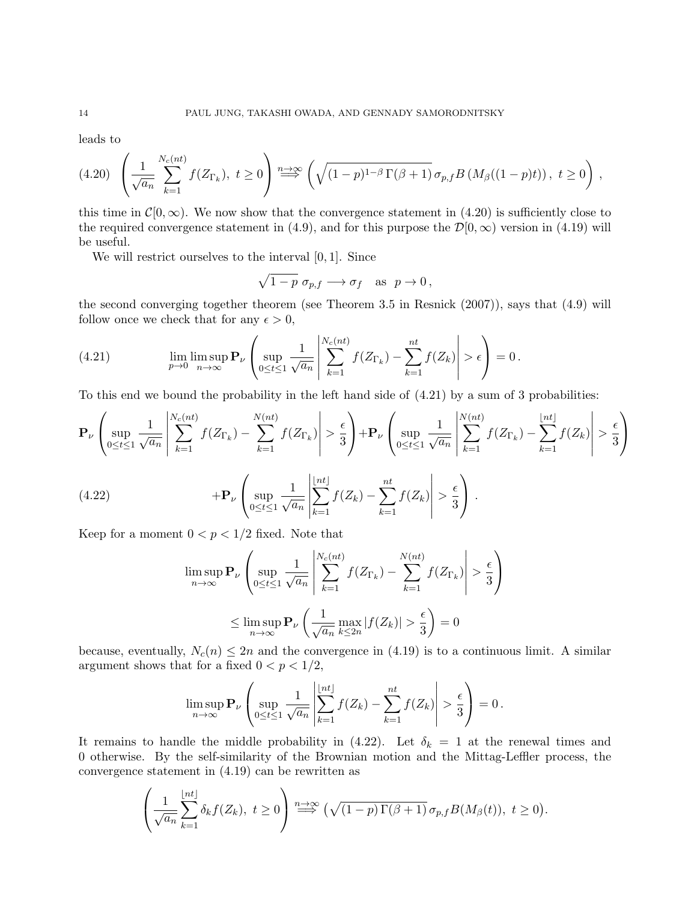leads to

$$
(4.20)\left(\frac{1}{\sqrt{a_n}}\sum_{k=1}^{N_c(nt)}f(Z_{\Gamma_k}),\ t\geq 0\right)\stackrel{n\to\infty}{\Longrightarrow}\left(\sqrt{(1-p)^{1-\beta}\Gamma(\beta+1)}\,\sigma_{p,f}B\left(M_\beta((1-p)t)\right),\ t\geq 0\right),
$$

this time in  $\mathcal{C}[0,\infty)$ . We now show that the convergence statement in (4.20) is sufficiently close to the required convergence statement in (4.9), and for this purpose the  $\mathcal{D}[0,\infty)$  version in (4.19) will be useful.

We will restrict ourselves to the interval  $[0, 1]$ . Since

$$
\sqrt{1-p} \, \sigma_{p,f} \longrightarrow \sigma_f \quad \text{as} \ \ p \to 0 \,,
$$

the second converging together theorem (see Theorem 3.5 in Resnick (2007)), says that (4.9) will follow once we check that for any  $\epsilon > 0$ ,

(4.21) 
$$
\lim_{p \to 0} \lim_{n \to \infty} \mathbf{P}_{\nu} \left( \sup_{0 \le t \le 1} \frac{1}{\sqrt{a_n}} \left| \sum_{k=1}^{N_c(nt)} f(Z_{\Gamma_k}) - \sum_{k=1}^{nt} f(Z_k) \right| > \epsilon \right) = 0.
$$

To this end we bound the probability in the left hand side of  $(4.21)$  by a sum of 3 probabilities:

$$
\mathbf{P}_{\nu}\left(\sup_{0\leq t\leq 1}\frac{1}{\sqrt{a_{n}}}\left|\sum_{k=1}^{N_{c}(nt)}f(Z_{\Gamma_{k}})-\sum_{k=1}^{N(nt)}f(Z_{\Gamma_{k}})\right|>\frac{\epsilon}{3}\right)+\mathbf{P}_{\nu}\left(\sup_{0\leq t\leq 1}\frac{1}{\sqrt{a_{n}}}\left|\sum_{k=1}^{N(nt)}f(Z_{\Gamma_{k}})-\sum_{k=1}^{\lfloor nt\rfloor}f(Z_{k})\right|>\frac{\epsilon}{3}\right)
$$
\n
$$
(4.22)\qquad\qquad+\mathbf{P}_{\nu}\left(\sup_{0\leq t\leq 1}\frac{1}{\sqrt{a_{n}}}\left|\sum_{k=1}^{\lfloor nt\rfloor}f(Z_{k})-\sum_{k=1}^{nt}f(Z_{k})\right|>\frac{\epsilon}{3}\right).
$$

Keep for a moment  $0 < p < 1/2$  fixed. Note that

$$
\limsup_{n \to \infty} \mathbf{P}_{\nu} \left( \sup_{0 \le t \le 1} \frac{1}{\sqrt{a_n}} \left| \sum_{k=1}^{N_c(nt)} f(Z_{\Gamma_k}) - \sum_{k=1}^{N(nt)} f(Z_{\Gamma_k}) \right| > \frac{\epsilon}{3} \right)
$$
  

$$
\le \limsup_{n \to \infty} \mathbf{P}_{\nu} \left( \frac{1}{\sqrt{a_n}} \max_{k \le 2n} |f(Z_k)| > \frac{\epsilon}{3} \right) = 0
$$

because, eventually,  $N_c(n) \leq 2n$  and the convergence in (4.19) is to a continuous limit. A similar argument shows that for a fixed  $0 < p < 1/2$ ,

$$
\limsup_{n\to\infty} \mathbf{P}_{\nu}\left(\sup_{0\leq t\leq 1} \frac{1}{\sqrt{a_n}} \left|\sum_{k=1}^{\lfloor nt \rfloor} f(Z_k) - \sum_{k=1}^{nt} f(Z_k)\right| > \frac{\epsilon}{3}\right) = 0.
$$

It remains to handle the middle probability in (4.22). Let  $\delta_k = 1$  at the renewal times and 0 otherwise. By the self-similarity of the Brownian motion and the Mittag-Leffler process, the convergence statement in (4.19) can be rewritten as

$$
\left(\frac{1}{\sqrt{a_n}}\sum_{k=1}^{\lfloor nt \rfloor} \delta_k f(Z_k), \ t \ge 0\right) \stackrel{n \to \infty}{\Longrightarrow} \left(\sqrt{(1-p)\,\Gamma(\beta+1)}\,\sigma_{p,f}B(M_\beta(t)), \ t \ge 0\right).
$$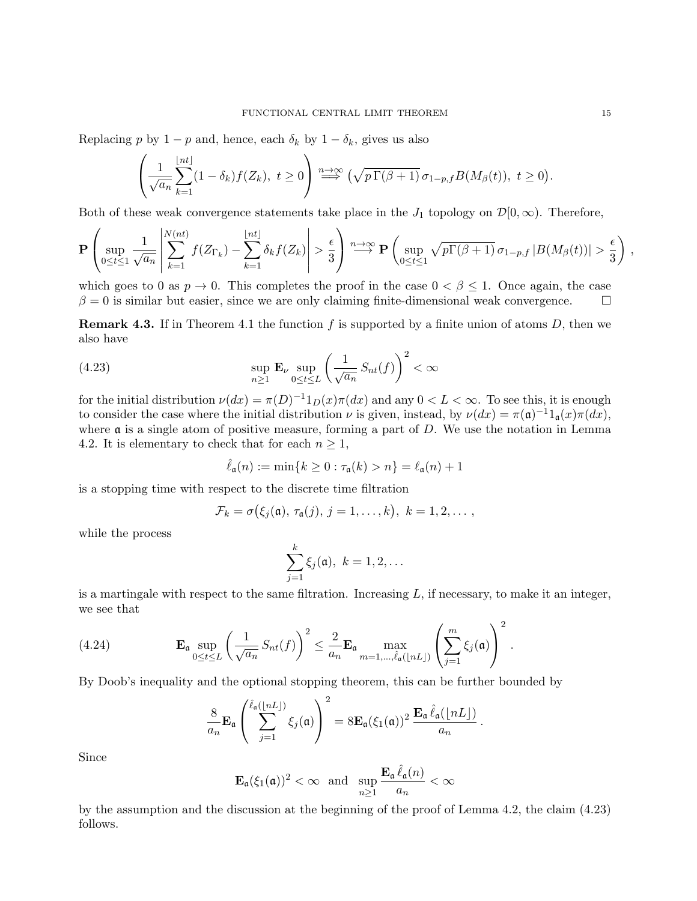Replacing p by 1 – p and, hence, each  $\delta_k$  by 1 –  $\delta_k$ , gives us also

$$
\left(\frac{1}{\sqrt{a_n}}\sum_{k=1}^{\lfloor nt \rfloor} (1-\delta_k)f(Z_k), t \ge 0\right) \stackrel{n \to \infty}{\Longrightarrow} \left(\sqrt{p\Gamma(\beta+1)}\,\sigma_{1-p,f}B(M_\beta(t)), t \ge 0\right).
$$

Both of these weak convergence statements take place in the  $J_1$  topology on  $\mathcal{D}[0,\infty)$ . Therefore,

$$
\mathbf{P}\left(\sup_{0\leq t\leq 1}\frac{1}{\sqrt{a_n}}\left|\sum_{k=1}^{N(nt)}f(Z_{\Gamma_k})-\sum_{k=1}^{\lfloor nt\rfloor}\delta_kf(Z_k)\right|>\frac{\epsilon}{3}\right)\stackrel{n\to\infty}{\longrightarrow}\mathbf{P}\left(\sup_{0\leq t\leq 1}\sqrt{p\Gamma(\beta+1)}\,\sigma_{1-p,f}\,|B(M_\beta(t))|>\frac{\epsilon}{3}\right)\,,
$$

which goes to 0 as  $p \to 0$ . This completes the proof in the case  $0 < \beta \leq 1$ . Once again, the case  $\beta = 0$  is similar but easier, since we are only claiming finite-dimensional weak convergence.

**Remark 4.3.** If in Theorem 4.1 the function f is supported by a finite union of atoms  $D$ , then we also have

(4.23) 
$$
\sup_{n\geq 1} \mathbf{E}_{\nu} \sup_{0\leq t\leq L} \left(\frac{1}{\sqrt{a_n}} S_{nt}(f)\right)^2 < \infty
$$

for the initial distribution  $\nu(dx) = \pi(D)^{-1}1_D(x)\pi(dx)$  and any  $0 < L < \infty$ . To see this, it is enough to consider the case where the initial distribution  $\nu$  is given, instead, by  $\nu(dx) = \pi(\mathfrak{a})^{-1}1_{\mathfrak{a}}(x)\pi(dx)$ , where  $\alpha$  is a single atom of positive measure, forming a part of  $D$ . We use the notation in Lemma 4.2. It is elementary to check that for each  $n \geq 1$ ,

$$
\hat{\ell}_{\mathfrak{a}}(n):=\min\{k\geq 0: \tau_{\mathfrak{a}}(k)>n\}=\ell_{\mathfrak{a}}(n)+1
$$

is a stopping time with respect to the discrete time filtration

$$
\mathcal{F}_k = \sigma(\xi_j(\mathfrak{a}), \tau_{\mathfrak{a}}(j), j = 1, \ldots, k), k = 1, 2, \ldots,
$$

while the process

$$
\sum_{j=1}^k \xi_j(\mathfrak{a}),\ k=1,2,\ldots
$$

is a martingale with respect to the same filtration. Increasing  $L$ , if necessary, to make it an integer, we see that

(4.24) 
$$
\mathbf{E}_{\mathfrak{a}} \sup_{0 \leq t \leq L} \left( \frac{1}{\sqrt{a_n}} S_{nt}(f) \right)^2 \leq \frac{2}{a_n} \mathbf{E}_{\mathfrak{a}} \max_{m=1,\dots,\hat{\ell}_{\mathfrak{a}}(|nL|)} \left( \sum_{j=1}^m \xi_j(\mathfrak{a}) \right)^2.
$$

By Doob's inequality and the optional stopping theorem, this can be further bounded by

$$
\frac{8}{a_n} \mathbf{E}_{\mathfrak{a}} \left( \sum_{j=1}^{\hat{\ell}_{\mathfrak{a}}(\lfloor nL \rfloor)} \xi_j(\mathfrak{a}) \right)^2 = 8 \mathbf{E}_{\mathfrak{a}}(\xi_1(\mathfrak{a}))^2 \frac{\mathbf{E}_{\mathfrak{a}} \hat{\ell}_{\mathfrak{a}}(\lfloor nL \rfloor)}{a_n}.
$$

Since

$$
\mathbf{E}_{\mathfrak{a}}(\xi_{1}(\mathfrak{a}))^{2}<\infty\ \ \text{and}\ \ \sup_{n\geq1}\frac{\mathbf{E}_{\mathfrak{a}}\,\hat{\ell}_{\mathfrak{a}}(n)}{a_{n}}<\infty
$$

by the assumption and the discussion at the beginning of the proof of Lemma 4.2, the claim (4.23) follows.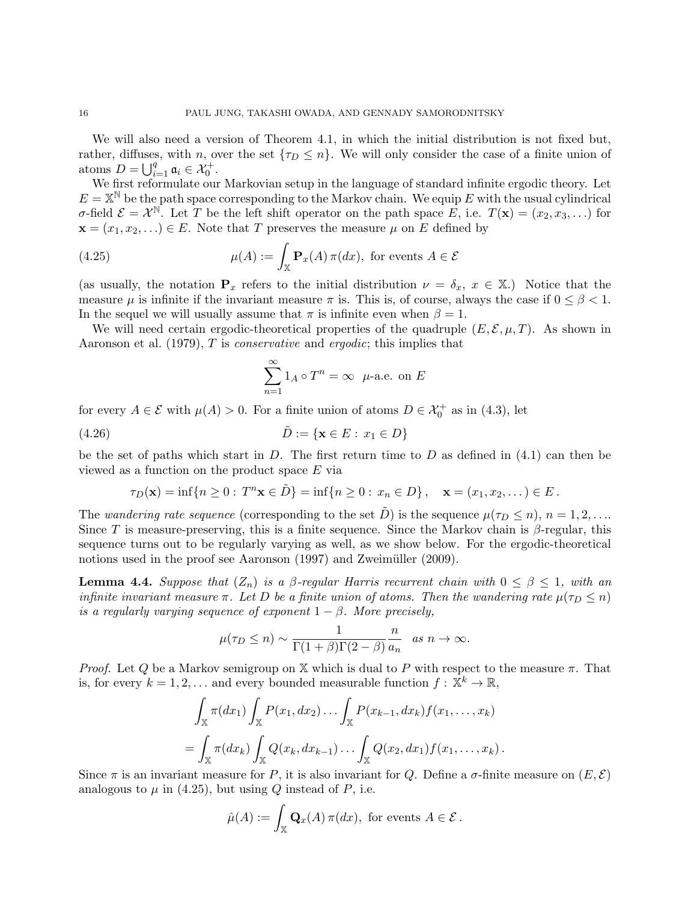We will also need a version of Theorem 4.1, in which the initial distribution is not fixed but, rather, diffuses, with n, over the set  $\{\tau_D \leq n\}$ . We will only consider the case of a finite union of atoms  $D = \bigcup_{i=1}^{q} \mathfrak{a}_i \in \mathcal{X}_0^+$ .

We first reformulate our Markovian setup in the language of standard infinite ergodic theory. Let  $E = \mathbb{X}^{\mathbb{N}}$  be the path space corresponding to the Markov chain. We equip E with the usual cylindrical  $\sigma$ -field  $\mathcal{E} = \mathcal{X}^{\mathbb{N}}$ . Let T be the left shift operator on the path space E, i.e.  $T(\mathbf{x}) = (x_2, x_3, \ldots)$  for  $\mathbf{x} = (x_1, x_2, \ldots) \in E$ . Note that T preserves the measure  $\mu$  on E defined by

(4.25) 
$$
\mu(A) := \int_{\mathbb{X}} \mathbf{P}_x(A) \, \pi(dx), \text{ for events } A \in \mathcal{E}
$$

(as usually, the notation  $P_x$  refers to the initial distribution  $\nu = \delta_x, x \in \mathbb{X}$ .) Notice that the measure  $\mu$  is infinite if the invariant measure  $\pi$  is. This is, of course, always the case if  $0 \le \beta < 1$ . In the sequel we will usually assume that  $\pi$  is infinite even when  $\beta = 1$ .

We will need certain ergodic-theoretical properties of the quadruple  $(E, \mathcal{E}, \mu, T)$ . As shown in Aaronson et al. (1979), T is conservative and ergodic; this implies that

$$
\sum_{n=1}^{\infty} 1_A \circ T^n = \infty \ \mu\text{-a.e. on } E
$$

for every  $A \in \mathcal{E}$  with  $\mu(A) > 0$ . For a finite union of atoms  $D \in \mathcal{X}_0^+$  as in (4.3), let

$$
(4.26) \qquad \qquad \tilde{D} := \{ \mathbf{x} \in E : x_1 \in D \}
$$

be the set of paths which start in  $D$ . The first return time to  $D$  as defined in (4.1) can then be viewed as a function on the product space E via

$$
\tau_D(\mathbf{x}) = \inf\{n \ge 0 : T^n \mathbf{x} \in \tilde{D}\} = \inf\{n \ge 0 : x_n \in D\}, \quad \mathbf{x} = (x_1, x_2, \dots) \in E.
$$

The wandering rate sequence (corresponding to the set  $\tilde{D}$ ) is the sequence  $\mu(\tau_D \leq n)$ ,  $n = 1, 2, \ldots$ Since T is measure-preserving, this is a finite sequence. Since the Markov chain is  $\beta$ -regular, this sequence turns out to be regularly varying as well, as we show below. For the ergodic-theoretical notions used in the proof see Aaronson (1997) and Zweimüller (2009).

**Lemma 4.4.** Suppose that  $(Z_n)$  is a  $\beta$ -regular Harris recurrent chain with  $0 \leq \beta \leq 1$ , with an infinite invariant measure  $\pi$ . Let D be a finite union of atoms. Then the wandering rate  $\mu(\tau_D \leq n)$ is a regularly varying sequence of exponent  $1 - \beta$ . More precisely,

$$
\mu(\tau_D \le n) \sim \frac{1}{\Gamma(1+\beta)\Gamma(2-\beta)} \frac{n}{a_n} \quad as \; n \to \infty.
$$

*Proof.* Let Q be a Markov semigroup on X which is dual to P with respect to the measure  $\pi$ . That is, for every  $k = 1, 2, ...$  and every bounded measurable function  $f : \mathbb{X}^k \to \mathbb{R}$ ,

$$
\int_{\mathbb{X}} \pi(dx_1) \int_{\mathbb{X}} P(x_1, dx_2) \dots \int_{\mathbb{X}} P(x_{k-1}, dx_k) f(x_1, \dots, x_k) \n= \int_{\mathbb{X}} \pi(dx_k) \int_{\mathbb{X}} Q(x_k, dx_{k-1}) \dots \int_{\mathbb{X}} Q(x_2, dx_1) f(x_1, \dots, x_k).
$$

Since  $\pi$  is an invariant measure for P, it is also invariant for Q. Define a  $\sigma$ -finite measure on  $(E, \mathcal{E})$ analogous to  $\mu$  in (4.25), but using Q instead of P, i.e.

$$
\hat{\mu}(A) := \int_{\mathbb{X}} \mathbf{Q}_x(A) \, \pi(dx), \text{ for events } A \in \mathcal{E}.
$$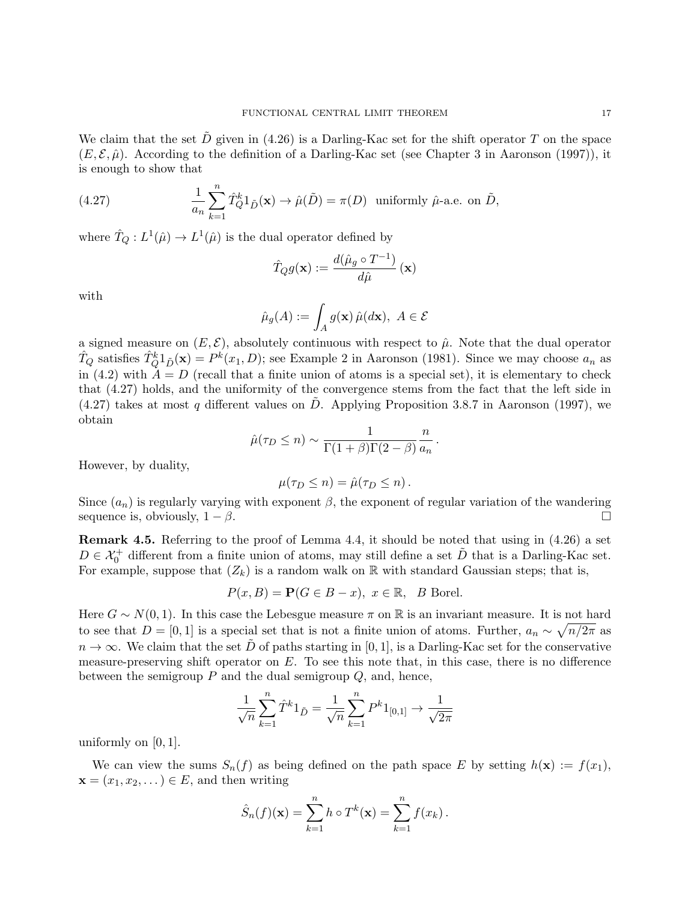We claim that the set  $\tilde{D}$  given in (4.26) is a Darling-Kac set for the shift operator T on the space  $(E, \mathcal{E}, \hat{\mu})$ . According to the definition of a Darling-Kac set (see Chapter 3 in Aaronson (1997)), it is enough to show that

(4.27) 
$$
\frac{1}{a_n} \sum_{k=1}^n \hat{T}_Q^k 1_{\tilde{D}}(\mathbf{x}) \to \hat{\mu}(\tilde{D}) = \pi(D) \text{ uniformly } \hat{\mu}\text{-a.e. on } \tilde{D},
$$

where  $\hat{T}_Q: L^1(\hat{\mu}) \to L^1(\hat{\mu})$  is the dual operator defined by

$$
\hat{T}_Q g(\mathbf{x}) := \frac{d(\hat{\mu}_g \circ T^{-1})}{d\hat{\mu}}(\mathbf{x})
$$

with

$$
\hat{\mu}_g(A) := \int_A g(\mathbf{x}) \, \hat{\mu}(d\mathbf{x}), \ A \in \mathcal{E}
$$

a signed measure on  $(E, \mathcal{E})$ , absolutely continuous with respect to  $\hat{\mu}$ . Note that the dual operator  $\hat{T}_Q$  satisfies  $\hat{T}_Q^k 1_{\tilde{D}}(\mathbf{x}) = P^k(x_1, D)$ ; see Example 2 in Aaronson (1981). Since we may choose  $a_n$  as in (4.2) with  $A = D$  (recall that a finite union of atoms is a special set), it is elementary to check that (4.27) holds, and the uniformity of the convergence stems from the fact that the left side in  $(4.27)$  takes at most q different values on D. Applying Proposition 3.8.7 in Aaronson (1997), we obtain

$$
\hat{\mu}(\tau_D \le n) \sim \frac{1}{\Gamma(1+\beta)\Gamma(2-\beta)} \frac{n}{a_n}.
$$

However, by duality,

$$
\mu(\tau_D \leq n) = \hat{\mu}(\tau_D \leq n).
$$

Since  $(a_n)$  is regularly varying with exponent  $\beta$ , the exponent of regular variation of the wandering sequence is, obviously,  $1 - \beta$ .

**Remark 4.5.** Referring to the proof of Lemma 4.4, it should be noted that using in  $(4.26)$  a set  $D \in \mathcal{X}_0^+$  different from a finite union of atoms, may still define a set  $\tilde{D}$  that is a Darling-Kac set. For example, suppose that  $(Z_k)$  is a random walk on R with standard Gaussian steps; that is,

$$
P(x, B) = \mathbf{P}(G \in B - x), \ x \in \mathbb{R}, \ B \text{ Borel.}
$$

Here  $G \sim N(0, 1)$ . In this case the Lebesgue measure  $\pi$  on R is an invariant measure. It is not hard to see that  $D = [0, 1]$  is a special set that is not a finite union of atoms. Further,  $a_n \sim \sqrt{n/2\pi}$  as  $n \to \infty$ . We claim that the set D of paths starting in [0, 1], is a Darling-Kac set for the conservative measure-preserving shift operator on  $E$ . To see this note that, in this case, there is no difference between the semigroup  $P$  and the dual semigroup  $Q$ , and, hence,

$$
\frac{1}{\sqrt{n}}\sum_{k=1}^{n} \hat{T}^{k}1_{\tilde{D}} = \frac{1}{\sqrt{n}}\sum_{k=1}^{n} P^{k}1_{[0,1]} \to \frac{1}{\sqrt{2\pi}}
$$

uniformly on [0, 1].

We can view the sums  $S_n(f)$  as being defined on the path space E by setting  $h(\mathbf{x}) := f(x_1)$ ,  $\mathbf{x} = (x_1, x_2, \dots) \in E$ , and then writing

$$
\hat{S}_n(f)(\mathbf{x}) = \sum_{k=1}^n h \circ T^k(\mathbf{x}) = \sum_{k=1}^n f(x_k).
$$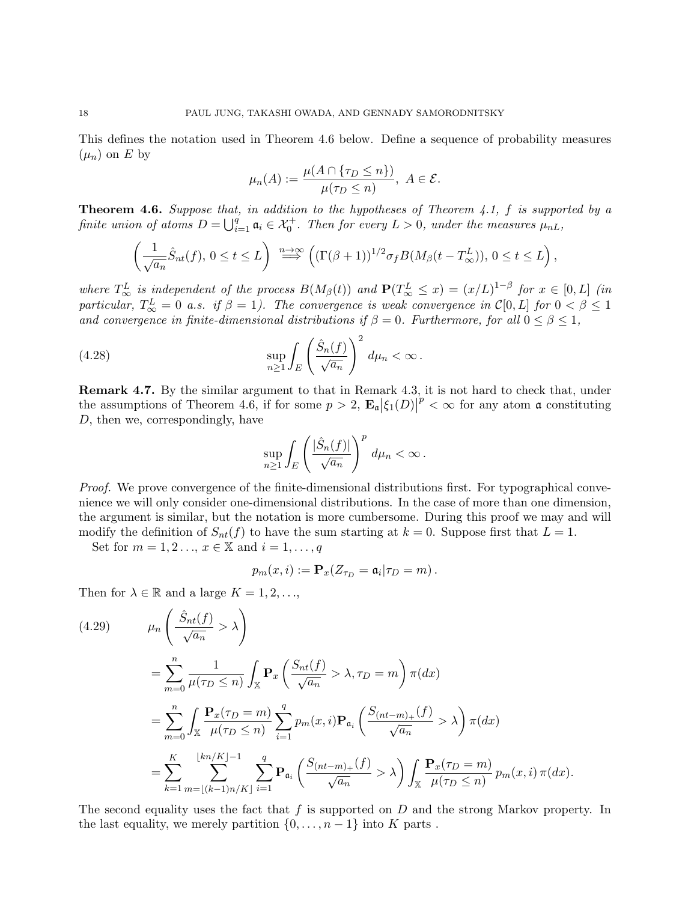This defines the notation used in Theorem 4.6 below. Define a sequence of probability measures  $(\mu_n)$  on E by

$$
\mu_n(A) := \frac{\mu(A \cap \{\tau_D \le n\})}{\mu(\tau_D \le n)}, \ A \in \mathcal{E}.
$$

**Theorem 4.6.** Suppose that, in addition to the hypotheses of Theorem 4.1, f is supported by a finite union of atoms  $D = \bigcup_{i=1}^q \mathfrak{a}_i \in \mathcal{X}_0^+$ . Then for every  $L > 0$ , under the measures  $\mu_{nL}$ ,

$$
\left(\frac{1}{\sqrt{a_n}}\hat{S}_{nt}(f),\,0\leq t\leq L\right)\overset{n\to\infty}{\Longrightarrow}\left((\Gamma(\beta+1))^{1/2}\sigma_fB(M_\beta(t-T_\infty^L)),\,0\leq t\leq L\right),
$$

where  $T_{\infty}^{L}$  is independent of the process  $B(M_{\beta}(t))$  and  $\mathbf{P}(T_{\infty}^{L} \leq x) = (x/L)^{1-\beta}$  for  $x \in [0, L]$  (in particular,  $T_{\infty}^{L} = 0$  a.s. if  $\beta = 1$ ). The convergence is weak convergence in  $\mathcal{C}[0,L]$  for  $0 < \beta \leq 1$ and convergence in finite-dimensional distributions if  $\beta = 0$ . Furthermore, for all  $0 \le \beta \le 1$ ,

(4.28) 
$$
\sup_{n\geq 1}\int_E\left(\frac{\hat{S}_n(f)}{\sqrt{a_n}}\right)^2 d\mu_n < \infty.
$$

Remark 4.7. By the similar argument to that in Remark 4.3, it is not hard to check that, under the assumptions of Theorem 4.6, if for some  $p > 2$ ,  $\mathbf{E}_{\mathfrak{a}} |\xi_1(D)|^p < \infty$  for any atom  $\mathfrak{a}$  constituting D, then we, correspondingly, have

$$
\sup_{n\geq 1}\int_E\left(\frac{|\hat{S}_n(f)|}{\sqrt{a_n}}\right)^pd\mu_n<\infty.
$$

Proof. We prove convergence of the finite-dimensional distributions first. For typographical convenience we will only consider one-dimensional distributions. In the case of more than one dimension, the argument is similar, but the notation is more cumbersome. During this proof we may and will modify the definition of  $S_{nt}(f)$  to have the sum starting at  $k = 0$ . Suppose first that  $L = 1$ .

Set for  $m = 1, 2, \ldots, x \in \mathbb{X}$  and  $i = 1, \ldots, q$ 

$$
p_m(x,i) := \mathbf{P}_x(Z_{\tau_D} = \mathfrak{a}_i | \tau_D = m).
$$

Then for  $\lambda \in \mathbb{R}$  and a large  $K = 1, 2, \ldots,$ 

$$
(4.29) \qquad \mu_n \left( \frac{\hat{S}_{nt}(f)}{\sqrt{a_n}} > \lambda \right)
$$
  
\n
$$
= \sum_{m=0}^n \frac{1}{\mu(\tau_D \le n)} \int_{\mathbb{X}} \mathbf{P}_x \left( \frac{S_{nt}(f)}{\sqrt{a_n}} > \lambda, \tau_D = m \right) \pi(dx)
$$
  
\n
$$
= \sum_{m=0}^n \int_{\mathbb{X}} \frac{\mathbf{P}_x(\tau_D = m)}{\mu(\tau_D \le n)} \sum_{i=1}^q p_m(x, i) \mathbf{P}_{\mathfrak{a}_i} \left( \frac{S_{(nt-m)+}(f)}{\sqrt{a_n}} > \lambda \right) \pi(dx)
$$
  
\n
$$
= \sum_{k=1}^K \sum_{m=\lfloor (k-1)n/K \rfloor}^{\lfloor kn/K \rfloor - 1} \sum_{i=1}^q \mathbf{P}_{\mathfrak{a}_i} \left( \frac{S_{(nt-m)+}(f)}{\sqrt{a_n}} > \lambda \right) \int_{\mathbb{X}} \frac{\mathbf{P}_x(\tau_D = m)}{\mu(\tau_D \le n)} p_m(x, i) \pi(dx).
$$

The second equality uses the fact that  $f$  is supported on  $D$  and the strong Markov property. In the last equality, we merely partition  $\{0, \ldots, n-1\}$  into K parts.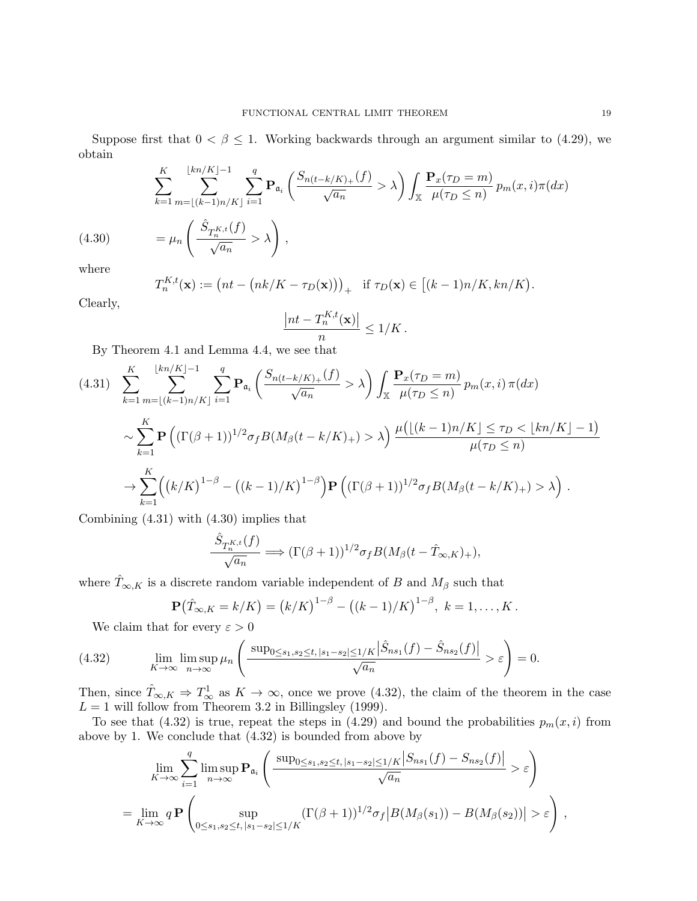Suppose first that  $0 < \beta \leq 1$ . Working backwards through an argument similar to (4.29), we obtain

(4.30) 
$$
\sum_{k=1}^{K} \sum_{m=\lfloor (k-1)n/K \rfloor}^{\lfloor kn/K \rfloor - 1} \sum_{i=1}^{q} \mathbf{P}_{\mathfrak{a}_i} \left( \frac{S_{n(t-k/K)+}(f)}{\sqrt{a_n}} > \lambda \right) \int_{\mathbb{X}} \frac{\mathbf{P}_x(\tau_D = m)}{\mu(\tau_D \le n)} p_m(x, i) \pi(dx)
$$

$$
= \mu_n \left( \frac{\hat{S}_{T_n^{K,t}}(f)}{\sqrt{a_n}} > \lambda \right),
$$

where

$$
T_n^{K,t}(\mathbf{x}) := \big(nk - \big(nk/K - \tau_D(\mathbf{x})\big)\big)_+ \quad \text{if } \tau_D(\mathbf{x}) \in \big[(k-1)n/K, kn/K\big).
$$

Clearly,

$$
\frac{|nt - T_n^{K,t}(\mathbf{x})|}{n} \le 1/K.
$$

By Theorem 4.1 and Lemma 4.4, we see that

$$
(4.31) \sum_{k=1}^{K} \sum_{m=\lfloor (k-1)n/K \rfloor}^{\lfloor kn/K \rfloor-1} \sum_{i=1}^{q} \mathbf{P}_{\mathfrak{a}_i} \left( \frac{S_{n(t-k/K)_+}(f)}{\sqrt{a_n}} > \lambda \right) \int_{\mathbb{X}} \frac{\mathbf{P}_x(\tau_D = m)}{\mu(\tau_D \le n)} p_m(x, i) \pi(dx)
$$
  

$$
\sim \sum_{k=1}^{K} \mathbf{P} \left( (\Gamma(\beta+1))^{1/2} \sigma_f B(M_\beta(t-k/K)_+) > \lambda \right) \frac{\mu(\lfloor (k-1)n/K \rfloor \le \tau_D < \lfloor kn/K \rfloor - 1)}{\mu(\tau_D \le n)}
$$
  

$$
\rightarrow \sum_{k=1}^{K} \left( (k/K)^{1-\beta} - \left( (k-1)/K \right)^{1-\beta} \right) \mathbf{P} \left( (\Gamma(\beta+1))^{1/2} \sigma_f B(M_\beta(t-k/K)_+) > \lambda \right).
$$

Combining (4.31) with (4.30) implies that

$$
\frac{\hat{S}_{T_n^{K,t}}(f)}{\sqrt{a_n}} \Longrightarrow (\Gamma(\beta+1))^{1/2} \sigma_f B(M_\beta(t-\hat{T}_{\infty,K})_+),
$$

where  $\hat{T}_{\infty,K}$  is a discrete random variable independent of B and  $M_\beta$  such that

$$
\mathbf{P}(\hat{T}_{\infty,K} = k/K) = (k/K)^{1-\beta} - ((k-1)/K)^{1-\beta}, \ k = 1,\ldots,K.
$$

We claim that for every  $\varepsilon > 0$ 

(4.32) 
$$
\lim_{K \to \infty} \lim_{n \to \infty} \mu_n \left( \frac{\sup_{0 \le s_1, s_2 \le t, |s_1 - s_2| \le 1/K} |\hat{S}_{ns_1}(f) - \hat{S}_{ns_2}(f)|}{\sqrt{a_n}} > \varepsilon \right) = 0.
$$

Then, since  $\hat{T}_{\infty,K} \Rightarrow T_{\infty}^1$  as  $K \to \infty$ , once we prove (4.32), the claim of the theorem in the case  $L = 1$  will follow from Theorem 3.2 in Billingsley (1999).

To see that (4.32) is true, repeat the steps in (4.29) and bound the probabilities  $p_m(x, i)$  from above by 1. We conclude that (4.32) is bounded from above by

$$
\lim_{K \to \infty} \sum_{i=1}^{q} \limsup_{n \to \infty} \mathbf{P}_{\mathfrak{a}_i} \left( \frac{\sup_{0 \le s_1, s_2 \le t, |s_1 - s_2| \le 1/K} |S_{ns_1}(f) - S_{ns_2}(f)|}{\sqrt{a_n}} > \varepsilon \right)
$$
  
= 
$$
\lim_{K \to \infty} q \mathbf{P} \left( \sup_{0 \le s_1, s_2 \le t, |s_1 - s_2| \le 1/K} (\Gamma(\beta + 1))^{1/2} \sigma_f |B(M_\beta(s_1)) - B(M_\beta(s_2))| > \varepsilon \right),
$$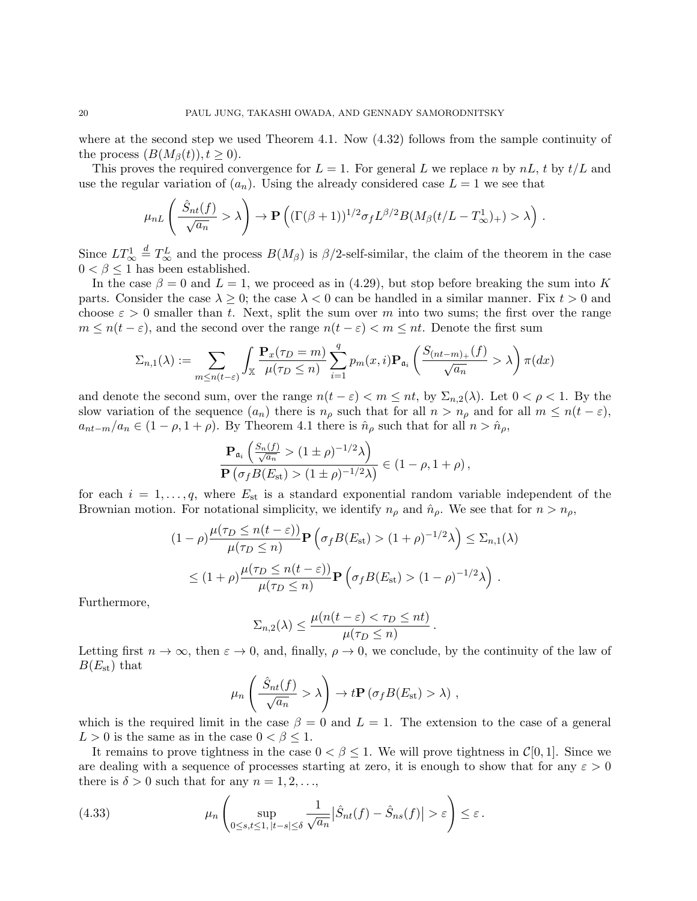where at the second step we used Theorem 4.1. Now  $(4.32)$  follows from the sample continuity of the process  $(B(M_\beta(t)), t \geq 0)$ .

This proves the required convergence for  $L = 1$ . For general L we replace n by  $nL$ , t by  $t/L$  and use the regular variation of  $(a_n)$ . Using the already considered case  $L = 1$  we see that

$$
\mu_{nL}\left(\frac{\hat{S}_{nt}(f)}{\sqrt{a_n}}>\lambda\right) \to \mathbf{P}\left((\Gamma(\beta+1))^{1/2}\sigma_f L^{\beta/2}B(M_{\beta}(t/L-T_{\infty}^1)+>\lambda\right).
$$

Since  $LT^1_{\infty} \stackrel{d}{=} T^L_{\infty}$  and the process  $B(M_{\beta})$  is  $\beta/2$ -self-similar, the claim of the theorem in the case  $0 < \beta \leq 1$  has been established.

In the case  $\beta = 0$  and  $L = 1$ , we proceed as in (4.29), but stop before breaking the sum into K parts. Consider the case  $\lambda \geq 0$ ; the case  $\lambda < 0$  can be handled in a similar manner. Fix  $t > 0$  and choose  $\varepsilon > 0$  smaller than t. Next, split the sum over m into two sums; the first over the range  $m \leq n(t - \varepsilon)$ , and the second over the range  $n(t - \varepsilon) < m \leq nt$ . Denote the first sum

$$
\Sigma_{n,1}(\lambda) := \sum_{m \le n(t-\varepsilon)} \int_{\mathbb{X}} \frac{\mathbf{P}_x(\tau_D = m)}{\mu(\tau_D \le n)} \sum_{i=1}^q p_m(x,i) \mathbf{P}_{\mathfrak{a}_i} \left( \frac{S_{(nt-m)_+}(f)}{\sqrt{a_n}} > \lambda \right) \pi(dx)
$$

and denote the second sum, over the range  $n(t - \varepsilon) < m \le nt$ , by  $\Sigma_{n,2}(\lambda)$ . Let  $0 < \rho < 1$ . By the slow variation of the sequence  $(a_n)$  there is  $n_\rho$  such that for all  $n > n_\rho$  and for all  $m \leq n(t - \varepsilon)$ ,  $a_{nt-m}/a_n \in (1-\rho, 1+\rho)$ . By Theorem 4.1 there is  $\hat{n}_{\rho}$  such that for all  $n > \hat{n}_{\rho}$ ,

$$
\frac{\mathbf{P}_{\mathfrak{a}_i} \left( \frac{S_n(f)}{\sqrt{a_n}} > (1 \pm \rho)^{-1/2} \lambda \right)}{\mathbf{P} \left( \sigma_f B(E_{\text{st}}) > (1 \pm \rho)^{-1/2} \lambda \right)} \in (1 - \rho, 1 + \rho),
$$

for each  $i = 1, \ldots, q$ , where  $E_{st}$  is a standard exponential random variable independent of the Brownian motion. For notational simplicity, we identify  $n_{\rho}$  and  $\hat{n}_{\rho}$ . We see that for  $n > n_{\rho}$ ,

$$
(1 - \rho) \frac{\mu(\tau_D \le n(t - \varepsilon))}{\mu(\tau_D \le n)} \mathbf{P}\left(\sigma_f B(E_{\text{st}}) > (1 + \rho)^{-1/2} \lambda\right) \le \Sigma_{n,1}(\lambda)
$$
  
 
$$
\le (1 + \rho) \frac{\mu(\tau_D \le n(t - \varepsilon))}{\mu(\tau_D \le n)} \mathbf{P}\left(\sigma_f B(E_{\text{st}}) > (1 - \rho)^{-1/2} \lambda\right).
$$

Furthermore,

$$
\Sigma_{n,2}(\lambda) \leq \frac{\mu(n(t-\varepsilon) < \tau_D \leq nt)}{\mu(\tau_D \leq n)}.
$$

Letting first  $n \to \infty$ , then  $\varepsilon \to 0$ , and, finally,  $\rho \to 0$ , we conclude, by the continuity of the law of  $B(E_{\rm st})$  that

$$
\mu_n\left(\frac{\hat{S}_{nt}(f)}{\sqrt{a_n}} > \lambda\right) \to t\mathbf{P}\left(\sigma_f B(E_{\rm st}) > \lambda\right),
$$

which is the required limit in the case  $\beta = 0$  and  $L = 1$ . The extension to the case of a general  $L > 0$  is the same as in the case  $0 < \beta \leq 1$ .

It remains to prove tightness in the case  $0 < \beta < 1$ . We will prove tightness in  $\mathcal{C}[0, 1]$ . Since we are dealing with a sequence of processes starting at zero, it is enough to show that for any  $\varepsilon > 0$ there is  $\delta > 0$  such that for any  $n = 1, 2, \ldots$ ,

(4.33) 
$$
\mu_n \left( \sup_{0 \le s,t \le 1, |t-s| \le \delta} \frac{1}{\sqrt{a_n}} |\hat{S}_{nt}(f) - \hat{S}_{ns}(f)| > \varepsilon \right) \le \varepsilon.
$$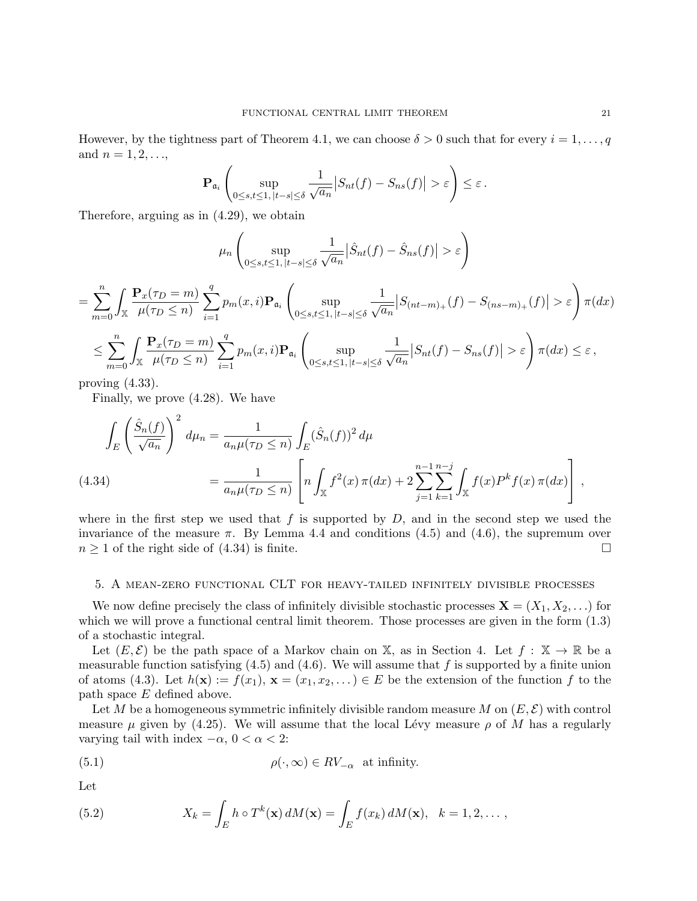However, by the tightness part of Theorem 4.1, we can choose  $\delta > 0$  such that for every  $i = 1, \ldots, q$ and  $n = 1, 2, \ldots$ ,

$$
\mathbf{P}_{\mathfrak{a}_i} \left( \sup_{0 \leq s,t \leq 1, |t-s| \leq \delta} \frac{1}{\sqrt{a_n}} \big| S_{nt}(f) - S_{ns}(f) \big| > \varepsilon \right) \leq \varepsilon.
$$

Therefore, arguing as in (4.29), we obtain

$$
\mu_n \left( \sup_{0 \le s,t \le 1, |t-s| \le \delta} \frac{1}{\sqrt{a_n}} \left| \hat{S}_{nt}(f) - \hat{S}_{ns}(f) \right| > \varepsilon \right)
$$

$$
= \sum_{m=0}^{n} \int_{\mathbb{X}} \frac{\mathbf{P}_x(\tau_D = m)}{\mu(\tau_D \le n)} \sum_{i=1}^{q} p_m(x, i) \mathbf{P}_{\mathfrak{a}_i} \left( \sup_{0 \le s, t \le 1, |t-s| \le \delta} \frac{1}{\sqrt{a_n}} |S_{(nt-m)_+}(f) - S_{(ns-m)_+}(f)| > \varepsilon \right) \pi(dx)
$$
  

$$
\le \sum_{m=0}^{n} \int_{\mathbb{X}} \frac{\mathbf{P}_x(\tau_D = m)}{\mu(\tau_D \le n)} \sum_{i=1}^{q} p_m(x, i) \mathbf{P}_{\mathfrak{a}_i} \left( \sup_{0 \le s, t \le 1, |t-s| \le \delta} \frac{1}{\sqrt{a_n}} |S_{nt}(f) - S_{ns}(f)| > \varepsilon \right) \pi(dx) \le \varepsilon,
$$

proving  $(4.33)$ .

Finally, we prove (4.28). We have

$$
\int_{E} \left( \frac{\hat{S}_n(f)}{\sqrt{a_n}} \right)^2 d\mu_n = \frac{1}{a_n \mu (\tau_D \le n)} \int_{E} (\hat{S}_n(f))^2 d\mu
$$
\n(4.34)\n
$$
= \frac{1}{a_n \mu (\tau_D \le n)} \left[ n \int_{\mathbb{X}} f^2(x) \, \pi(dx) + 2 \sum_{j=1}^{n-1} \sum_{k=1}^{n-j} \int_{\mathbb{X}} f(x) P^k f(x) \, \pi(dx) \right],
$$

where in the first step we used that f is supported by  $D$ , and in the second step we used the invariance of the measure  $\pi$ . By Lemma 4.4 and conditions (4.5) and (4.6), the supremum over  $n \geq 1$  of the right side of (4.34) is finite.

### 5. A mean-zero functional CLT for heavy-tailed infinitely divisible processes

We now define precisely the class of infinitely divisible stochastic processes  $\mathbf{X} = (X_1, X_2, \ldots)$  for which we will prove a functional central limit theorem. Those processes are given in the form  $(1.3)$ of a stochastic integral.

Let  $(E, \mathcal{E})$  be the path space of a Markov chain on X, as in Section 4. Let  $f : \mathbb{X} \to \mathbb{R}$  be a measurable function satisfying  $(4.5)$  and  $(4.6)$ . We will assume that f is supported by a finite union of atoms (4.3). Let  $h(\mathbf{x}) := f(x_1), \mathbf{x} = (x_1, x_2, \dots) \in E$  be the extension of the function f to the path space E defined above.

Let M be a homogeneous symmetric infinitely divisible random measure M on  $(E, \mathcal{E})$  with control measure  $\mu$  given by (4.25). We will assume that the local Lévy measure  $\rho$  of M has a regularly varying tail with index  $-\alpha$ ,  $0 < \alpha < 2$ :

(5.1) 
$$
\rho(\cdot,\infty) \in RV_{-\alpha} \text{ at infinity.}
$$

Let

(5.2) 
$$
X_k = \int_E h \circ T^k(\mathbf{x}) dM(\mathbf{x}) = \int_E f(x_k) dM(\mathbf{x}), \quad k = 1, 2, \dots,
$$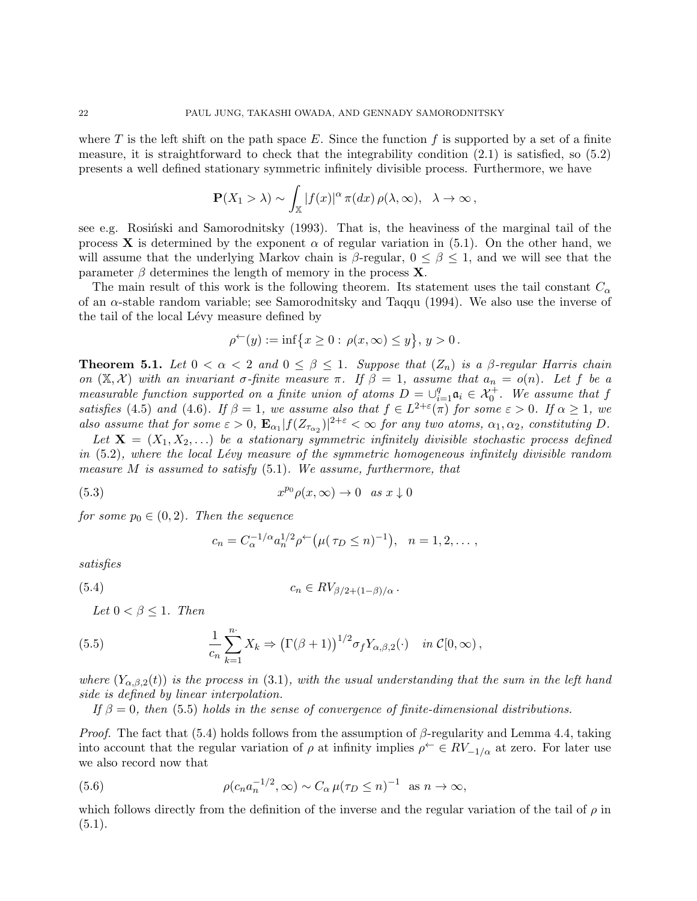where T is the left shift on the path space E. Since the function f is supported by a set of a finite measure, it is straightforward to check that the integrability condition  $(2.1)$  is satisfied, so  $(5.2)$ presents a well defined stationary symmetric infinitely divisible process. Furthermore, we have

$$
\mathbf{P}(X_1 > \lambda) \sim \int_{\mathbb{X}} |f(x)|^{\alpha} \pi(dx) \, \rho(\lambda, \infty), \quad \lambda \to \infty \,,
$$

see e.g. Rosinski and Samorodnitsky  $(1993)$ . That is, the heaviness of the marginal tail of the process **X** is determined by the exponent  $\alpha$  of regular variation in (5.1). On the other hand, we will assume that the underlying Markov chain is  $\beta$ -regular,  $0 \leq \beta \leq 1$ , and we will see that the parameter  $\beta$  determines the length of memory in the process **X**.

The main result of this work is the following theorem. Its statement uses the tail constant  $C_{\alpha}$ of an  $\alpha$ -stable random variable; see Samorodnitsky and Taqqu (1994). We also use the inverse of the tail of the local Lévy measure defined by

$$
\rho^{\leftarrow}(y) := \inf \{ x \ge 0 : \rho(x, \infty) \le y \}, y > 0.
$$

**Theorem 5.1.** Let  $0 < \alpha < 2$  and  $0 \le \beta \le 1$ . Suppose that  $(Z_n)$  is a  $\beta$ -regular Harris chain on  $(X, \mathcal{X})$  with an invariant σ-finite measure  $\pi$ . If  $\beta = 1$ , assume that  $a_n = o(n)$ . Let f be a measurable function supported on a finite union of atoms  $D = \bigcup_{i=1}^{q} a_i \in \mathcal{X}_0^+$ . We assume that f satisfies (4.5) and (4.6). If  $\beta = 1$ , we assume also that  $f \in L^{2+\epsilon}(\pi)$  for some  $\epsilon > 0$ . If  $\alpha \geq 1$ , we also assume that for some  $\varepsilon > 0$ ,  $\mathbf{E}_{\alpha_1} |f(Z_{\tau_{\alpha_2}})|^{2+\varepsilon} < \infty$  for any two atoms,  $\alpha_1, \alpha_2$ , constituting D.

Let  $X = (X_1, X_2, ...)$  be a stationary symmetric infinitely divisible stochastic process defined in  $(5.2)$ , where the local Lévy measure of the symmetric homogeneous infinitely divisible random measure  $M$  is assumed to satisfy  $(5.1)$ . We assume, furthermore, that

(5.3) 
$$
x^{p_0} \rho(x, \infty) \to 0 \quad as \; x \downarrow 0
$$

for some  $p_0 \in (0, 2)$ . Then the sequence

$$
c_n = C_{\alpha}^{-1/\alpha} a_n^{1/2} \rho^{\leftarrow} (\mu(\tau_D \leq n)^{-1}), \quad n = 1, 2, \dots,
$$

$$
satisfies
$$

$$
(5.4) \t\t\t c_n \in RV_{\beta/2+(1-\beta)/\alpha}.
$$

Let  $0 < \beta \leq 1$ . Then

(5.5) 
$$
\frac{1}{c_n} \sum_{k=1}^n X_k \Rightarrow \left( \Gamma(\beta + 1) \right)^{1/2} \sigma_f Y_{\alpha, \beta, 2}(\cdot) \quad in \ \mathcal{C}[0, \infty),
$$

where  $(Y_{\alpha,\beta,2}(t))$  is the process in (3.1), with the usual understanding that the sum in the left hand side is defined by linear interpolation.

If  $\beta = 0$ , then (5.5) holds in the sense of convergence of finite-dimensional distributions.

*Proof.* The fact that (5.4) holds follows from the assumption of  $\beta$ -regularity and Lemma 4.4, taking into account that the regular variation of  $\rho$  at infinity implies  $\rho^{\leftarrow} \in RV_{-1/\alpha}$  at zero. For later use we also record now that

(5.6) 
$$
\rho(c_n a_n^{-1/2}, \infty) \sim C_\alpha \mu(\tau_D \le n)^{-1} \text{ as } n \to \infty,
$$

which follows directly from the definition of the inverse and the regular variation of the tail of  $\rho$  in  $(5.1).$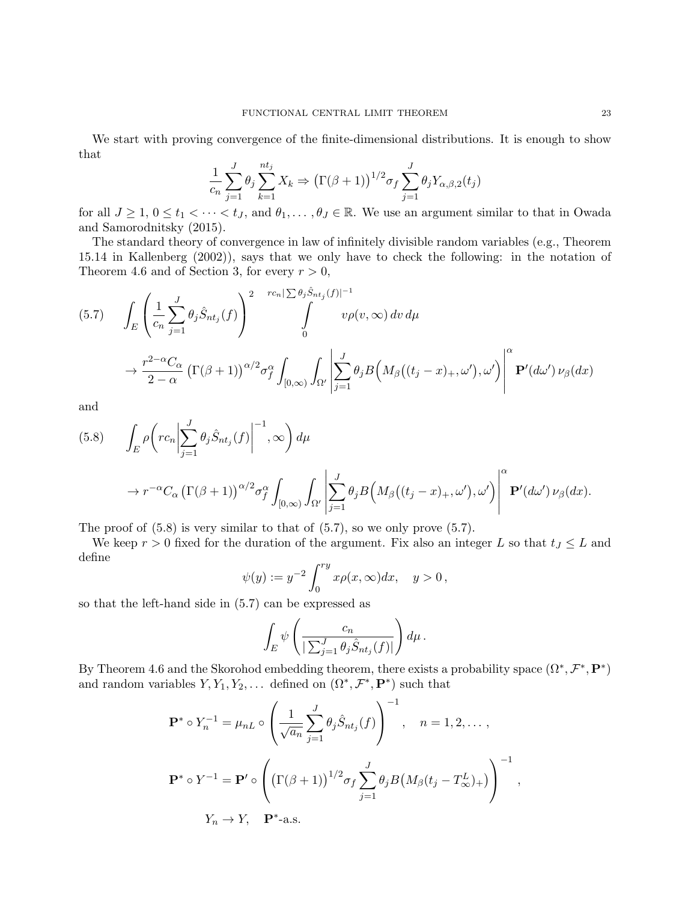We start with proving convergence of the finite-dimensional distributions. It is enough to show that

$$
\frac{1}{c_n} \sum_{j=1}^{J} \theta_j \sum_{k=1}^{nt_j} X_k \Rightarrow (\Gamma(\beta + 1))^{1/2} \sigma_f \sum_{j=1}^{J} \theta_j Y_{\alpha, \beta, 2}(t_j)
$$

for all  $J \geq 1, 0 \leq t_1 < \cdots < t_J$ , and  $\theta_1, \ldots, \theta_J \in \mathbb{R}$ . We use an argument similar to that in Owada and Samorodnitsky (2015).

The standard theory of convergence in law of infinitely divisible random variables (e.g., Theorem 15.14 in Kallenberg (2002)), says that we only have to check the following: in the notation of Theorem 4.6 and of Section 3, for every  $r > 0$ ,

$$
(5.7) \qquad \int_{E} \left( \frac{1}{c_n} \sum_{j=1}^{J} \theta_j \hat{S}_{nt_j}(f) \right)^2 \qquad \int_{0}^{rc_n |\sum \theta_j \hat{S}_{nt_j}(f)|^{-1}} \nu \rho(v, \infty) \, dv \, d\mu
$$

$$
\to \frac{r^{2-\alpha} C_{\alpha}}{2-\alpha} \left( \Gamma(\beta+1) \right)^{\alpha/2} \sigma_f^{\alpha} \int_{[0,\infty)} \int_{\Omega'} \left| \sum_{j=1}^{J} \theta_j B\left(M_{\beta}((t_j - x)_{+}, \omega'), \omega'\right) \right|^{\alpha} \mathbf{P}'(d\omega') \, \nu_{\beta}(dx)
$$

and

(5.8) 
$$
\int_{E} \rho \left( r c_n \left| \sum_{j=1}^{J} \theta_j \hat{S}_{nt_j}(f) \right|^{-1}, \infty \right) d\mu
$$

$$
\to r^{-\alpha} C_{\alpha} \left( \Gamma(\beta + 1) \right)^{\alpha/2} \sigma_f^{\alpha} \int_{[0,\infty)} \int_{\Omega'} \left| \sum_{j=1}^{J} \theta_j B \left( M_{\beta} \left( (t_j - x)_{+}, \omega' \right), \omega' \right) \right|^{\alpha} \mathbf{P}'(d\omega') \nu_{\beta}(dx).
$$

The proof of  $(5.8)$  is very similar to that of  $(5.7)$ , so we only prove  $(5.7)$ .

We keep  $r > 0$  fixed for the duration of the argument. Fix also an integer L so that  $t_j \leq L$  and define

$$
\psi(y) := y^{-2} \int_0^{ry} x \rho(x, \infty) dx, \quad y > 0,
$$

so that the left-hand side in (5.7) can be expressed as

$$
\int_E \psi \left( \frac{c_n}{\left| \sum_{j=1}^J \theta_j \hat{S}_{nt_j}(f) \right|} \right) d\mu.
$$

By Theorem 4.6 and the Skorohod embedding theorem, there exists a probability space  $(\Omega^*, \mathcal{F}^*, \mathbf{P}^*)$ and random variables  $Y, Y_1, Y_2, \ldots$  defined on  $(\Omega^*, \mathcal{F}^*, \mathbf{P}^*)$  such that

$$
\mathbf{P}^* \circ Y_n^{-1} = \mu_{nL} \circ \left(\frac{1}{\sqrt{a_n}} \sum_{j=1}^J \theta_j \hat{S}_{nt_j}(f)\right)^{-1}, \quad n = 1, 2, \dots,
$$
  

$$
\mathbf{P}^* \circ Y^{-1} = \mathbf{P}' \circ \left(\left(\Gamma(\beta+1)\right)^{1/2} \sigma_f \sum_{j=1}^J \theta_j B\left(M_\beta(t_j - T_\infty^L)_{+}\right)\right)^{-1},
$$
  

$$
Y_n \to Y, \quad \mathbf{P}^* \text{-a.s.}
$$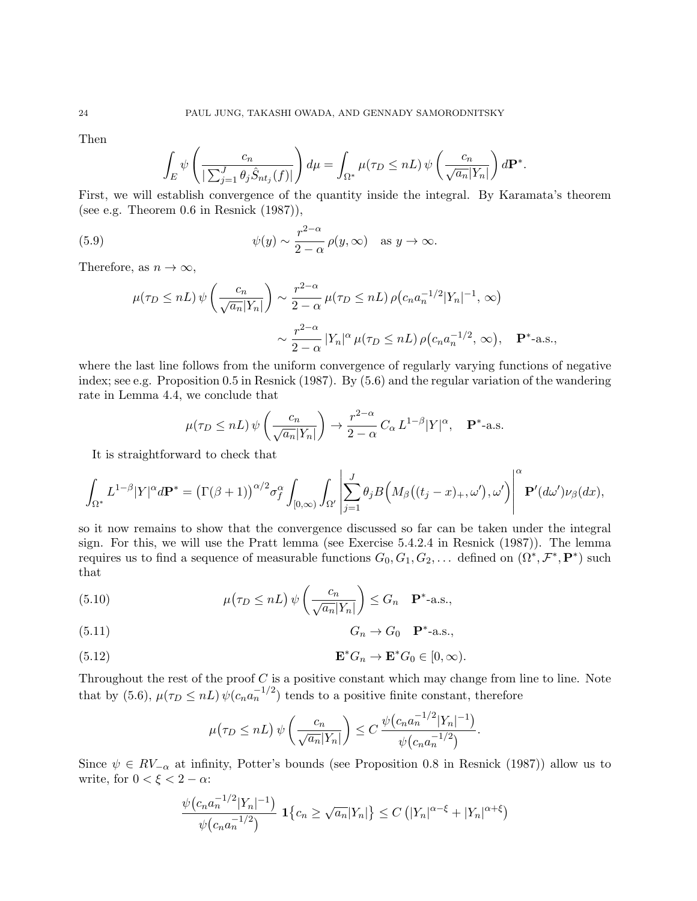Then

$$
\int_{E} \psi \left( \frac{c_n}{\left| \sum_{j=1}^J \theta_j \hat{S}_{nt_j}(f) \right|} \right) d\mu = \int_{\Omega^*} \mu(\tau_D \leq n) \psi \left( \frac{c_n}{\sqrt{a_n} |Y_n|} \right) d\mathbf{P}^*.
$$

First, we will establish convergence of the quantity inside the integral. By Karamata's theorem (see e.g. Theorem 0.6 in Resnick (1987)),

(5.9) 
$$
\psi(y) \sim \frac{r^{2-\alpha}}{2-\alpha} \rho(y, \infty) \text{ as } y \to \infty.
$$

Therefore, as  $n \to \infty$ ,

$$
\mu(\tau_D \le nL) \psi\left(\frac{c_n}{\sqrt{a_n}|Y_n|}\right) \sim \frac{r^{2-\alpha}}{2-\alpha} \mu(\tau_D \le nL) \rho(c_n a_n^{-1/2}|Y_n|^{-1}, \infty)
$$

$$
\sim \frac{r^{2-\alpha}}{2-\alpha} |Y_n|^\alpha \mu(\tau_D \le nL) \rho(c_n a_n^{-1/2}, \infty), \quad \mathbf{P}^*\text{-a.s.},
$$

where the last line follows from the uniform convergence of regularly varying functions of negative index; see e.g. Proposition 0.5 in Resnick (1987). By (5.6) and the regular variation of the wandering rate in Lemma 4.4, we conclude that

$$
\mu(\tau_D \le nL) \,\psi\left(\frac{c_n}{\sqrt{a_n}|Y_n|}\right) \to \frac{r^{2-\alpha}}{2-\alpha} C_\alpha L^{1-\beta} |Y|^\alpha, \quad \mathbf{P}^* \text{-a.s.}
$$

It is straightforward to check that

$$
\int_{\Omega^*} L^{1-\beta} |Y|^{\alpha} d\mathbf{P}^* = \left(\Gamma(\beta+1)\right)^{\alpha/2} \sigma_f^{\alpha} \int_{[0,\infty)} \int_{\Omega'} \left| \sum_{j=1}^J \theta_j B\Big(M_\beta((t_j-x)_+,\omega'),\omega'\Big) \right|^{\alpha} \mathbf{P}'(d\omega') \nu_\beta(dx),
$$

so it now remains to show that the convergence discussed so far can be taken under the integral sign. For this, we will use the Pratt lemma (see Exercise 5.4.2.4 in Resnick (1987)). The lemma requires us to find a sequence of measurable functions  $G_0, G_1, G_2, \ldots$  defined on  $(\Omega^*, \mathcal{F}^*, \mathbf{P}^*)$  such that

(5.10) 
$$
\mu(\tau_D \leq nL) \psi\left(\frac{c_n}{\sqrt{a_n}|Y_n|}\right) \leq G_n \quad \mathbf{P}^* \text{-a.s.},
$$

$$
(5.11) \t G_n \to G_0 \t \mathbf{P}^* - a.s.,
$$

(5.12) 
$$
\mathbf{E}^* G_n \to \mathbf{E}^* G_0 \in [0, \infty).
$$

Throughout the rest of the proof  $C$  is a positive constant which may change from line to line. Note that by (5.6),  $\mu(\tau_D \leq nL) \psi(c_n a_n^{-1/2})$  tends to a positive finite constant, therefore

$$
\mu(\tau_D \leq nL) \psi\left(\frac{c_n}{\sqrt{a_n}|Y_n|}\right) \leq C \frac{\psi(c_n a_n^{-1/2}|Y_n|^{-1})}{\psi(c_n a_n^{-1/2})}.
$$

Since  $\psi \in RV_{-\alpha}$  at infinity, Potter's bounds (see Proposition 0.8 in Resnick (1987)) allow us to write, for  $0 < \xi < 2 - \alpha$ :

$$
\frac{\psi(c_n a_n^{-1/2} |Y_n|^{-1})}{\psi(c_n a_n^{-1/2})} \mathbf{1}\{c_n \ge \sqrt{a_n}|Y_n|\} \le C\left(|Y_n|^{\alpha-\xi} + |Y_n|^{\alpha+\xi}\right)
$$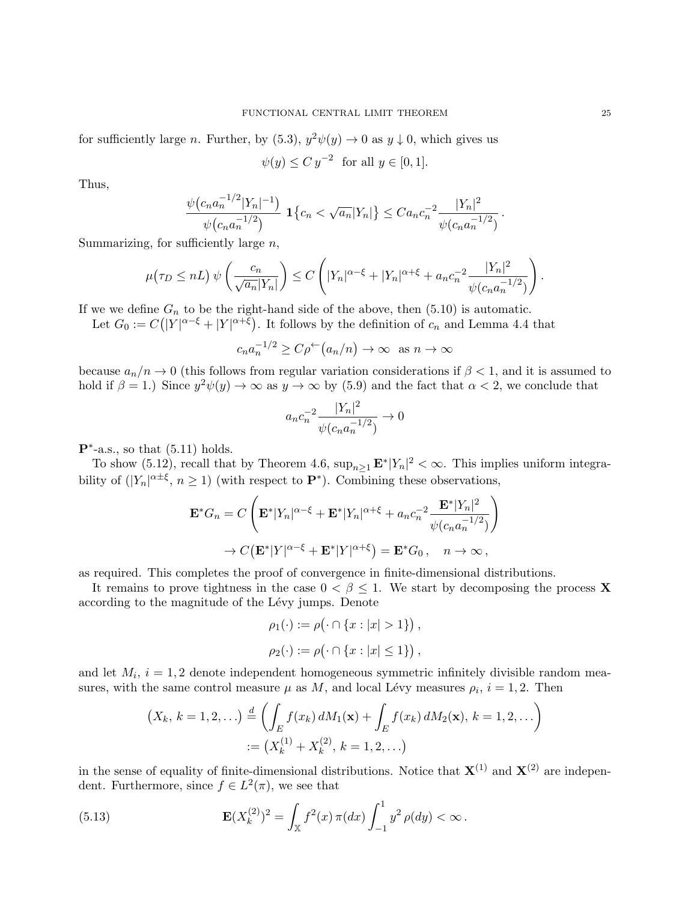for sufficiently large n. Further, by  $(5.3)$ ,  $y^2\psi(y) \rightarrow 0$  as  $y \downarrow 0$ , which gives us

$$
\psi(y) \le C y^{-2} \text{ for all } y \in [0, 1].
$$

Thus,

$$
\frac{\psi(c_na_n^{-1/2}|Y_n|^{-1})}{\psi(c_na_n^{-1/2})}\mathbf{1}\{c_n<\sqrt{a_n}|Y_n|\}\leq C a_nc_n^{-2}\frac{|Y_n|^2}{\psi(c_na_n^{-1/2})}.
$$

Summarizing, for sufficiently large  $n$ ,

$$
\mu(\tau_D \leq nL) \psi\left(\frac{c_n}{\sqrt{a_n}|Y_n|}\right) \leq C \left(|Y_n|^{\alpha-\xi} + |Y_n|^{\alpha+\xi} + a_n c_n^{-2} \frac{|Y_n|^2}{\psi(c_n a_n^{-1/2})}\right).
$$

If we we define  $G_n$  to be the right-hand side of the above, then  $(5.10)$  is automatic.

Let  $G_0 := C(|Y|^{\alpha-\xi} + |Y|^{\alpha+\xi})$ . It follows by the definition of  $c_n$  and Lemma 4.4 that

$$
c_n a_n^{-1/2} \ge C \rho^{\leftarrow} (a_n/n) \to \infty \text{ as } n \to \infty
$$

because  $a_n/n \to 0$  (this follows from regular variation considerations if  $\beta < 1$ , and it is assumed to hold if  $\beta = 1$ .) Since  $y^2 \psi(y) \to \infty$  as  $y \to \infty$  by (5.9) and the fact that  $\alpha < 2$ , we conclude that

$$
a_n c_n^{-2} \frac{|Y_n|^2}{\psi(c_n a_n^{-1/2})} \to 0
$$

 $\mathbf{P}^*$ -a.s., so that (5.11) holds.

To show (5.12), recall that by Theorem 4.6,  $\sup_{n\geq 1} \mathbf{E}^* |Y_n|^2 < \infty$ . This implies uniform integrability of  $(|Y_n|^{\alpha \pm \xi}, n \ge 1)$  (with respect to  $\mathbf{P}^*$ ). Combining these observations,

$$
\mathbf{E}^* G_n = C \left( \mathbf{E}^* |Y_n|^{\alpha - \xi} + \mathbf{E}^* |Y_n|^{\alpha + \xi} + a_n c_n^{-2} \frac{\mathbf{E}^* |Y_n|^2}{\psi(c_n a_n^{-1/2})} \right)
$$
  

$$
\to C \left( \mathbf{E}^* |Y|^{\alpha - \xi} + \mathbf{E}^* |Y|^{\alpha + \xi} \right) = \mathbf{E}^* G_0, \quad n \to \infty,
$$

as required. This completes the proof of convergence in finite-dimensional distributions.

It remains to prove tightness in the case  $0 < \beta \leq 1$ . We start by decomposing the process **X** according to the magnitude of the Lévy jumps. Denote

$$
\rho_1(\cdot) := \rho(\cdot \cap \{x : |x| > 1\}),
$$
  

$$
\rho_2(\cdot) := \rho(\cdot \cap \{x : |x| \le 1\}),
$$

and let  $M_i$ ,  $i = 1, 2$  denote independent homogeneous symmetric infinitely divisible random measures, with the same control measure  $\mu$  as M, and local Lévy measures  $\rho_i$ ,  $i = 1, 2$ . Then

$$
(X_k, k = 1, 2, \ldots) \stackrel{d}{=} \left( \int_E f(x_k) dM_1(\mathbf{x}) + \int_E f(x_k) dM_2(\mathbf{x}), k = 1, 2, \ldots \right)
$$
  
 :=  $(X_k^{(1)} + X_k^{(2)}, k = 1, 2, \ldots)$ 

in the sense of equality of finite-dimensional distributions. Notice that  $X^{(1)}$  and  $X^{(2)}$  are independent. Furthermore, since  $f \in L^2(\pi)$ , we see that

(5.13) 
$$
\mathbf{E}(X_k^{(2)})^2 = \int_{\mathbb{X}} f^2(x) \,\pi(dx) \int_{-1}^1 y^2 \,\rho(dy) < \infty.
$$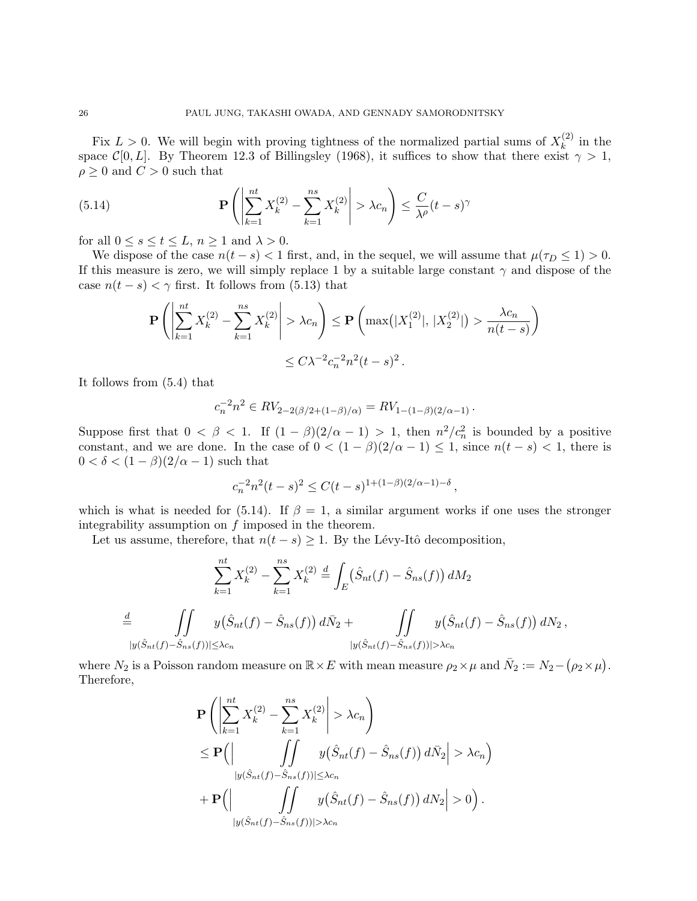Fix  $L > 0$ . We will begin with proving tightness of the normalized partial sums of  $X_k^{(2)}$  $\int_k^{(2)}$  in the space C[0, L]. By Theorem 12.3 of Billingsley (1968), it suffices to show that there exist  $\gamma > 1$ ,  $\rho \geq 0$  and  $C > 0$  such that

(5.14) 
$$
\mathbf{P}\left(\left|\sum_{k=1}^{nt} X_k^{(2)} - \sum_{k=1}^{ns} X_k^{(2)}\right| > \lambda c_n\right) \leq \frac{C}{\lambda^{\rho}}(t-s)^{\gamma}
$$

for all  $0 \le s \le t \le L$ ,  $n \ge 1$  and  $\lambda > 0$ .

We dispose of the case  $n(t - s) < 1$  first, and, in the sequel, we will assume that  $\mu(\tau_D \leq 1) > 0$ . If this measure is zero, we will simply replace 1 by a suitable large constant  $\gamma$  and dispose of the case  $n(t - s) < \gamma$  first. It follows from (5.13) that

$$
\mathbf{P}\left(\left|\sum_{k=1}^{nt} X_k^{(2)} - \sum_{k=1}^{ns} X_k^{(2)}\right| > \lambda c_n\right) \le \mathbf{P}\left(\max(|X_1^{(2)}|, |X_2^{(2)}|) > \frac{\lambda c_n}{n(t-s)}\right) \le C\lambda^{-2}c_n^{-2}n^2(t-s)^2.
$$

It follows from (5.4) that

$$
c_n^{-2}n^2 \in RV_{2-2(\beta/2+(1-\beta)/\alpha)} = RV_{1-(1-\beta)(2/\alpha-1)}.
$$

Suppose first that  $0 < \beta < 1$ . If  $(1 - \beta)(2/\alpha - 1) > 1$ , then  $n^2/c_n^2$  is bounded by a positive constant, and we are done. In the case of  $0 < (1 - \beta)(2/\alpha - 1) \leq 1$ , since  $n(t - s) < 1$ , there is  $0 < \delta < (1 - \beta)(2/\alpha - 1)$  such that

$$
c_n^{-2}n^2(t-s)^2 \le C(t-s)^{1+(1-\beta)(2/\alpha-1)-\delta}
$$
,

which is what is needed for (5.14). If  $\beta = 1$ , a similar argument works if one uses the stronger integrability assumption on  $f$  imposed in the theorem.

Let us assume, therefore, that  $n(t - s) \geq 1$ . By the Lévy-Itô decomposition,

$$
\sum_{k=1}^{nt} X_k^{(2)} - \sum_{k=1}^{ns} X_k^{(2)} \stackrel{d}{=} \int_E (\hat{S}_{nt}(f) - \hat{S}_{ns}(f)) dM_2
$$
  

$$
\stackrel{d}{=} \iint y(\hat{S}_{nt}(f) - \hat{S}_{ns}(f)) d\bar{N}_2 + \iint y(\hat{S}_{nt}(f) - \hat{S}_{ns}(f)) dN_2,
$$
  

$$
|y(\hat{S}_{nt}(f) - \hat{S}_{ns}(f))| \leq \lambda c_n
$$

where  $N_2$  is a Poisson random measure on  $\mathbb{R} \times E$  with mean measure  $\rho_2 \times \mu$  and  $\bar{N}_2 := N_2 - (\rho_2 \times \mu)$ . Therefore,

$$
\mathbf{P}\left(\left|\sum_{k=1}^{nt} X_k^{(2)} - \sum_{k=1}^{ns} X_k^{(2)}\right| > \lambda c_n\right)
$$
\n
$$
\leq \mathbf{P}\left(\left|\int\limits_{y(\hat{S}_{nt}(f) - \hat{S}_{ns}(f))|\leq \lambda c_n} y(\hat{S}_{nt}(f) - \hat{S}_{ns}(f)) d\bar{N}_2\right| > \lambda c_n\right)
$$
\n
$$
+ \mathbf{P}\left(\left|\int\limits_{y(\hat{S}_{nt}(f) - \hat{S}_{ns}(f))|\geq \lambda c_n} y(\hat{S}_{nt}(f) - \hat{S}_{ns}(f)) dN_2\right| > 0\right).
$$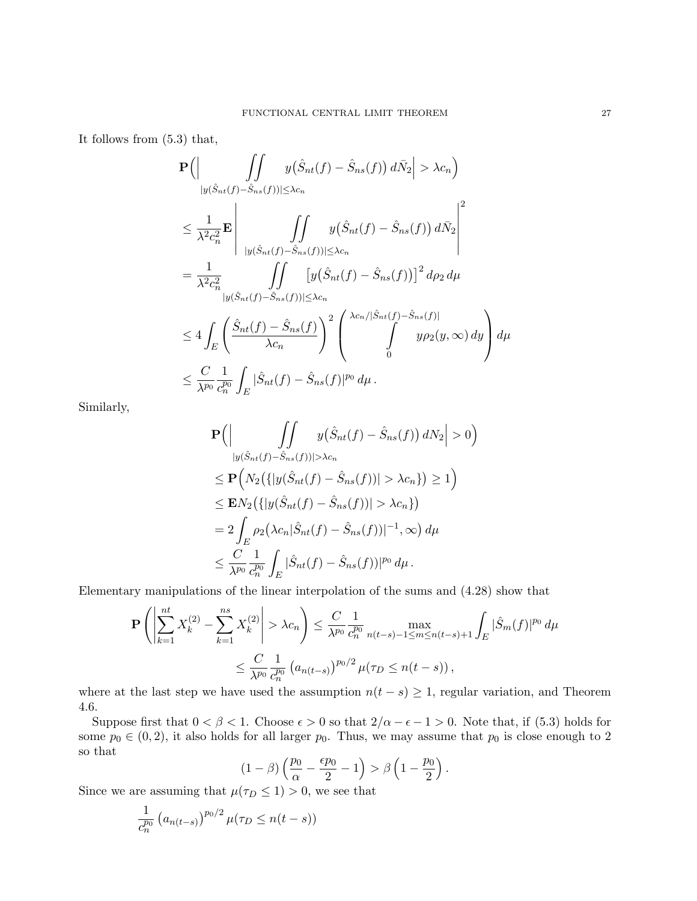It follows from (5.3) that,

$$
\mathbf{P}\Big(\Big|\int_{|y(\hat{S}_{nt}(f)-\hat{S}_{ns}(f))|\leq\lambda c_n} y(\hat{S}_{nt}(f)-\hat{S}_{ns}(f)) d\bar{N}_2\Big|>\lambda c_n\Big)
$$
  
\n
$$
\leq \frac{1}{\lambda^2 c_n^2} \mathbf{E}\Bigg|\int_{|y(\hat{S}_{nt}(f)-\hat{S}_{ns}(f))|\leq\lambda c_n} y(\hat{S}_{nt}(f)-\hat{S}_{ns}(f)) d\bar{N}_2\Bigg|^2
$$
  
\n
$$
=\frac{1}{\lambda^2 c_n^2} \int_{|y(\hat{S}_{nt}(f)-\hat{S}_{ns}(f))|\leq\lambda c_n} [y(\hat{S}_{nt}(f)-\hat{S}_{ns}(f))]^2 d\rho_2 d\mu
$$
  
\n
$$
\leq 4 \int_{E} \Bigg(\frac{\hat{S}_{nt}(f)-\hat{S}_{ns}(f)}{\lambda c_n}\Bigg)^2 \Bigg(\bigg(\sum_{n=1}^{\lambda c_n/|\hat{S}_{nt}(f)-\hat{S}_{ns}(f)|} y\rho_2(y,\infty) dy\Bigg) d\mu
$$
  
\n
$$
\leq \frac{C}{\lambda^{p_0}} \frac{1}{c_n^{p_0}} \int_{E} |\hat{S}_{nt}(f)-\hat{S}_{ns}(f)|^{p_0} d\mu.
$$

Similarly,

$$
\mathbf{P}\Big(\Big|\int_{|y(\hat{S}_{nt}(f)-\hat{S}_{ns}(f))|>\lambda c_n} y(\hat{S}_{nt}(f)-\hat{S}_{ns}(f)) dN_2\Big|>0\Big)
$$
  
\n
$$
\leq \mathbf{P}\Big(N_2\big(\{|y(\hat{S}_{nt}(f)-\hat{S}_{ns}(f))|>\lambda c_n\}\big)\geq 1\Big)
$$
  
\n
$$
\leq \mathbf{E}N_2\big(\{|y(\hat{S}_{nt}(f)-\hat{S}_{ns}(f))|>\lambda c_n\}\big)
$$
  
\n
$$
=2\int_{E} \rho_2\big(\lambda c_n|\hat{S}_{nt}(f)-\hat{S}_{ns}(f))|^{-1},\infty\big) d\mu
$$
  
\n
$$
\leq \frac{C}{\lambda^{p_0}}\frac{1}{c_n^{p_0}}\int_{E} |\hat{S}_{nt}(f)-\hat{S}_{ns}(f))|^{p_0} d\mu.
$$

Elementary manipulations of the linear interpolation of the sums and (4.28) show that

$$
\mathbf{P}\left(\left|\sum_{k=1}^{nt} X_k^{(2)} - \sum_{k=1}^{ns} X_k^{(2)}\right| > \lambda c_n\right) \le \frac{C}{\lambda^{p_0}} \frac{1}{c_n^{p_0}} \max_{n(t-s)-1 \le m \le n(t-s)+1} \int_E |\hat{S}_m(f)|^{p_0} d\mu
$$
  

$$
\le \frac{C}{\lambda^{p_0}} \frac{1}{c_n^{p_0}} \left(a_{n(t-s)}\right)^{p_0/2} \mu(\tau_D \le n(t-s)),
$$

where at the last step we have used the assumption  $n(t - s) \geq 1$ , regular variation, and Theorem 4.6.

Suppose first that  $0 < \beta < 1$ . Choose  $\epsilon > 0$  so that  $2/\alpha - \epsilon - 1 > 0$ . Note that, if (5.3) holds for some  $p_0 \in (0, 2)$ , it also holds for all larger  $p_0$ . Thus, we may assume that  $p_0$  is close enough to 2 so that

$$
(1 - \beta) \left(\frac{p_0}{\alpha} - \frac{\epsilon p_0}{2} - 1\right) > \beta \left(1 - \frac{p_0}{2}\right).
$$

Since we are assuming that  $\mu(\tau_D \leq 1) > 0$ , we see that

$$
\frac{1}{c_n^{p_0}}\left(a_{n(t-s)}\right)^{p_0/2}\mu(\tau_D\leq n(t-s))
$$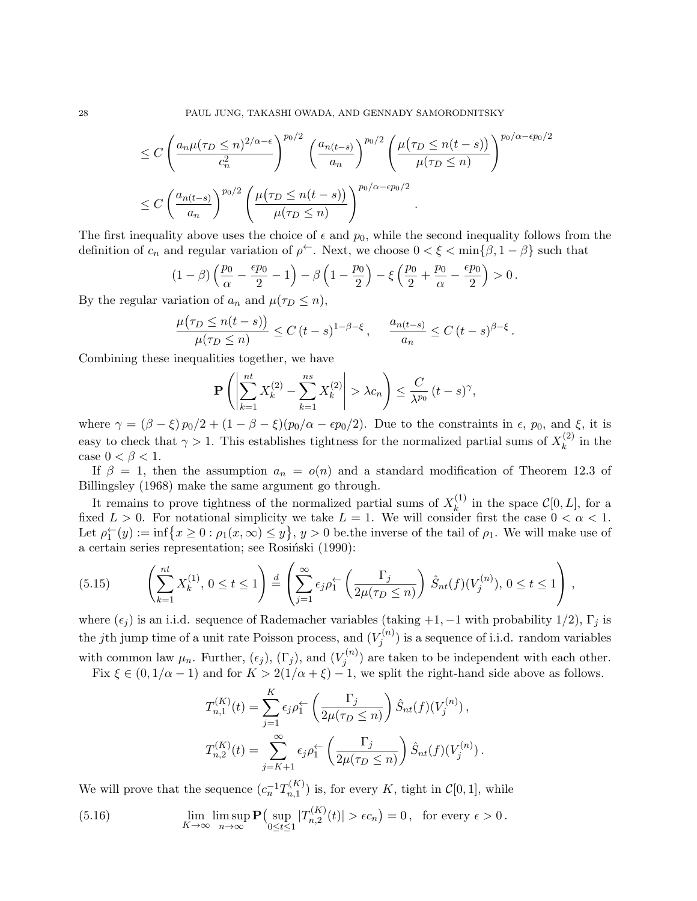$$
\leq C \left( \frac{a_n \mu(\tau_D \leq n)^{2/\alpha - \epsilon}}{c_n^2} \right)^{p_0/2} \left( \frac{a_{n(t-s)}}{a_n} \right)^{p_0/2} \left( \frac{\mu(\tau_D \leq n(t-s))}{\mu(\tau_D \leq n)} \right)^{p_0/\alpha - \epsilon p_0/2}
$$
  

$$
\leq C \left( \frac{a_{n(t-s)}}{a_n} \right)^{p_0/2} \left( \frac{\mu(\tau_D \leq n(t-s))}{\mu(\tau_D \leq n)} \right)^{p_0/\alpha - \epsilon p_0/2}.
$$

The first inequality above uses the choice of  $\epsilon$  and  $p_0$ , while the second inequality follows from the definition of  $c_n$  and regular variation of  $\rho^{\leftarrow}$ . Next, we choose  $0 < \xi < \min\{\beta, 1-\beta\}$  such that

$$
(1-\beta)\left(\frac{p_0}{\alpha}-\frac{\epsilon p_0}{2}-1\right)-\beta\left(1-\frac{p_0}{2}\right)-\xi\left(\frac{p_0}{2}+\frac{p_0}{\alpha}-\frac{\epsilon p_0}{2}\right)>0.
$$

By the regular variation of  $a_n$  and  $\mu(\tau_D \leq n)$ ,

$$
\frac{\mu(\tau_D \le n(t-s))}{\mu(\tau_D \le n)} \le C (t-s)^{1-\beta-\xi}, \quad \frac{a_{n(t-s)}}{a_n} \le C (t-s)^{\beta-\xi}.
$$

Combining these inequalities together, we have

$$
\mathbf{P}\left(\left|\sum_{k=1}^{nt} X_k^{(2)} - \sum_{k=1}^{ns} X_k^{(2)}\right| > \lambda c_n\right) \le \frac{C}{\lambda^{p_0}} (t-s)^{\gamma},
$$

where  $\gamma = (\beta - \xi) p_0/2 + (1 - \beta - \xi) (p_0/\alpha - \epsilon p_0/2)$ . Due to the constraints in  $\epsilon$ ,  $p_0$ , and  $\xi$ , it is easy to check that  $\gamma > 1$ . This establishes tightness for the normalized partial sums of  $X_k^{(2)}$  $\int_k^{(2)}$  in the case  $0 < \beta < 1$ .

If  $\beta = 1$ , then the assumption  $a_n = o(n)$  and a standard modification of Theorem 12.3 of Billingsley (1968) make the same argument go through.

It remains to prove tightness of the normalized partial sums of  $X_k^{(1)}$  $\mathcal{C}[0, L]$ , for a fixed  $L > 0$ . For notational simplicity we take  $L = 1$ . We will consider first the case  $0 < \alpha < 1$ . Let  $\rho_1^{\leftarrow}(y) := \inf\left\{x \geq 0 : \rho_1(x,\infty) \leq y\right\}$ ,  $y > 0$  be the inverse of the tail of  $\rho_1$ . We will make use of a certain series representation; see Rosiński (1990):

(5.15) 
$$
\left(\sum_{k=1}^{nt} X_k^{(1)}, 0 \le t \le 1\right) \stackrel{d}{=} \left(\sum_{j=1}^{\infty} \epsilon_j \rho_1^{\leftarrow} \left(\frac{\Gamma_j}{2\mu(\tau_D \le n)}\right) \hat{S}_{nt}(f)(V_j^{(n)}), 0 \le t \le 1\right),
$$

where  $(\epsilon_i)$  is an i.i.d. sequence of Rademacher variables (taking +1, -1 with probability 1/2), Γ<sub>i</sub> is the jth jump time of a unit rate Poisson process, and  $(V_i^{(n)})$  $j^{(n)}$  is a sequence of i.i.d. random variables with common law  $\mu_n$ . Further,  $(\epsilon_j)$ ,  $(\Gamma_j)$ , and  $(V_j^{(n)})$  $j^{(n)}$  are taken to be independent with each other.

Fix  $\xi \in (0, 1/\alpha - 1)$  and for  $K > 2(1/\alpha + \xi) - 1$ , we split the right-hand side above as follows.

$$
T_{n,1}^{(K)}(t) = \sum_{j=1}^{K} \epsilon_j \rho_1^{\leftarrow} \left( \frac{\Gamma_j}{2\mu(\tau_D \le n)} \right) \hat{S}_{nt}(f)(V_j^{(n)}),
$$
  

$$
T_{n,2}^{(K)}(t) = \sum_{j=K+1}^{\infty} \epsilon_j \rho_1^{\leftarrow} \left( \frac{\Gamma_j}{2\mu(\tau_D \le n)} \right) \hat{S}_{nt}(f)(V_j^{(n)}).
$$

We will prove that the sequence  $(c_n^{-1}T_{n,1}^{(K)})$  $\binom{n(N)}{n,1}$  is, for every K, tight in  $\mathcal{C}[0,1]$ , while

(5.16) 
$$
\lim_{K \to \infty} \lim_{n \to \infty} \mathbf{P} \Big( \sup_{0 \le t \le 1} |T_{n,2}^{(K)}(t)| > \epsilon c_n \Big) = 0, \text{ for every } \epsilon > 0.
$$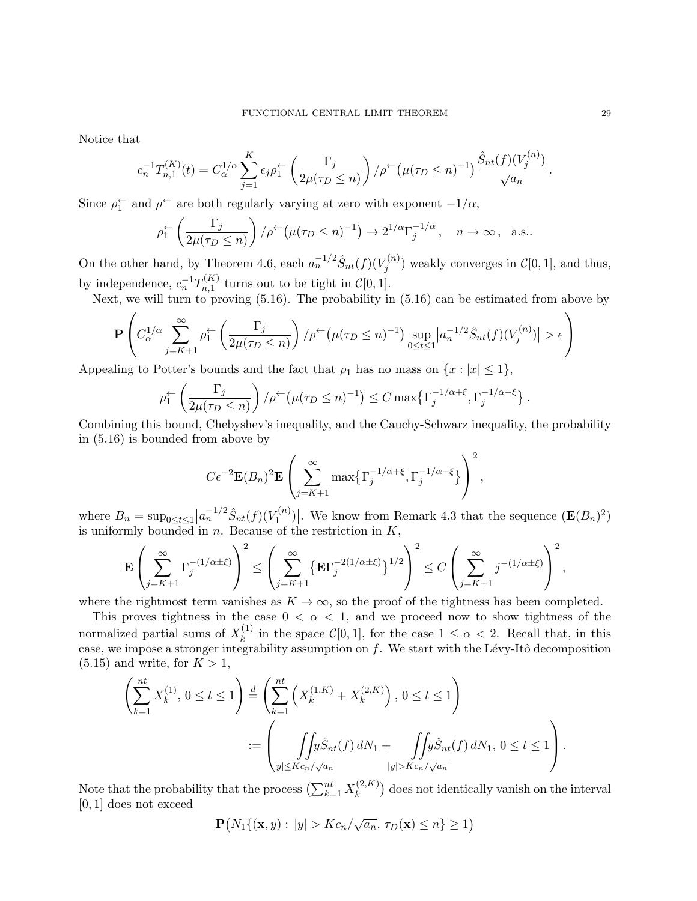Notice that

$$
c_n^{-1}T_{n,1}^{(K)}(t) = C_{\alpha}^{1/\alpha} \sum_{j=1}^{K} \epsilon_j \rho_1^{\leftarrow} \left(\frac{\Gamma_j}{2\mu(\tau_D \le n)}\right) / \rho^{\leftarrow} \left(\mu(\tau_D \le n)^{-1}\right) \frac{\hat{S}_{nt}(f)(V_j^{(n)})}{\sqrt{a_n}}
$$

Since  $\rho_1^{\leftarrow}$  and  $\rho^{\leftarrow}$  are both regularly varying at zero with exponent  $-1/\alpha$ ,

$$
\rho_1^{\leftarrow} \left( \frac{\Gamma_j}{2\mu(\tau_D \le n)} \right) / \rho^{\leftarrow} \left( \mu(\tau_D \le n)^{-1} \right) \to 2^{1/\alpha} \Gamma_j^{-1/\alpha}, \quad n \to \infty, \text{ a.s.}.
$$

On the other hand, by Theorem 4.6, each  $a_n^{-1/2} \hat{S}_{nt}(f)(V_i^{(n)})$  $\mathcal{C}^{(n)}_j$  weakly converges in  $\mathcal{C}[0,1]$ , and thus, by independence,  $c_n^{-1}T_{n,1}^{(K)}$  $n_{n,1}^{(R)}$  turns out to be tight in  $\mathcal{C}[0,1].$ 

Next, we will turn to proving (5.16). The probability in (5.16) can be estimated from above by

$$
\mathbf{P}\left(C_{\alpha}^{1/\alpha}\sum_{j=K+1}^{\infty}\rho_{1}^{\leftarrow}\left(\frac{\Gamma_{j}}{2\mu(\tau_{D}\leq n)}\right)/\rho^{\leftarrow}\left(\mu(\tau_{D}\leq n)^{-1}\right)\sup_{0\leq t\leq 1}\left|a_{n}^{-1/2}\hat{S}_{nt}(f)(V_{j}^{(n)})\right|>\epsilon\right)
$$

Appealing to Potter's bounds and the fact that  $\rho_1$  has no mass on  $\{x : |x| \leq 1\}$ ,

$$
\rho_1^{\leftarrow} \left( \frac{\Gamma_j}{2\mu(\tau_D \le n)} \right) / \rho^{\leftarrow} \left( \mu(\tau_D \le n)^{-1} \right) \le C \max \{ \Gamma_j^{-1/\alpha + \xi}, \Gamma_j^{-1/\alpha - \xi} \}.
$$

Combining this bound, Chebyshev's inequality, and the Cauchy-Schwarz inequality, the probability in (5.16) is bounded from above by

$$
C\epsilon^{-2}\mathbf{E}(B_n)^2\mathbf{E}\left(\sum_{j=K+1}^{\infty}\max\{\Gamma_j^{-1/\alpha+\xi},\Gamma_j^{-1/\alpha-\xi}\}\right)^2
$$

where  $B_n = \sup_{0 \le t \le 1} |a_n^{-1/2} \hat{S}_{nt}(f)(V_1^{(n)})|$  $\mathbb{E}^{(n)}$ . We know from Remark 4.3 that the sequence  $(\mathbf{E}(B_n)^2)$ is uniformly bounded in  $n$ . Because of the restriction in  $K$ ,

$$
\mathbf{E}\left(\sum_{j=K+1}^\infty \Gamma_j^{-(1/\alpha\pm\xi)}\right)^2 \le \left(\sum_{j=K+1}^\infty \{\mathbf{E}\Gamma_j^{-2(1/\alpha\pm\xi)}\}^{1/2}\right)^2 \le C\left(\sum_{j=K+1}^\infty j^{-(1/\alpha\pm\xi)}\right)^2,
$$

where the rightmost term vanishes as  $K \to \infty$ , so the proof of the tightness has been completed.

This proves tightness in the case  $0 < \alpha < 1$ , and we proceed now to show tightness of the normalized partial sums of  $X_k^{(1)}$  $\binom{1}{k}$  in the space  $\mathcal{C}[0,1]$ , for the case  $1 \leq \alpha < 2$ . Recall that, in this case, we impose a stronger integrability assumption on  $f$ . We start with the Lévy-Itô decomposition  $(5.15)$  and write, for  $K > 1$ ,

 X nt k=1 X (1) k , 0 ≤ t ≤ 1 ! d= X nt k=1 X (1,K) <sup>k</sup> + X (2,K) k , 0 ≤ t ≤ 1 ! := Z Z |y|≤Kcn/ <sup>√</sup>a<sup>n</sup> ySˆ nt(f) dN<sup>1</sup> + Z Z |y|>Kcn/ <sup>√</sup>a<sup>n</sup> ySˆ nt(f) dN1, 0 ≤ t ≤ 1 .

Note that the probability that the process  $\left(\sum_{k=1}^{nt} X_k^{(2,K)}\right)$  $\binom{(2,K)}{k}$  does not identically vanish on the interval [0, 1] does not exceed

$$
\mathbf{P}(N_1\{(\mathbf{x},y): |y| > Kc_n/\sqrt{a_n}, \tau_D(\mathbf{x}) \le n\} \ge 1)
$$

.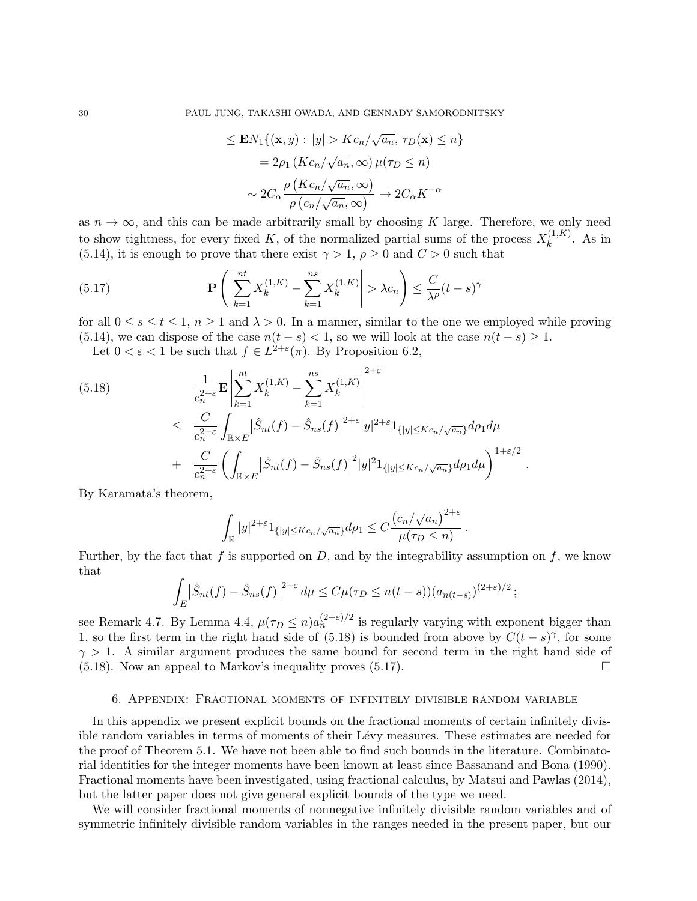$$
\leq \mathbf{E} N_1 \{ (\mathbf{x}, y) : |y| > K c_n / \sqrt{a_n}, \tau_D(\mathbf{x}) \leq n \}
$$

$$
= 2\rho_1 \left( K c_n / \sqrt{a_n}, \infty \right) \mu(\tau_D \leq n)
$$

$$
\sim 2C_\alpha \frac{\rho \left( K c_n / \sqrt{a_n}, \infty \right)}{\rho \left( c_n / \sqrt{a_n}, \infty \right)} \to 2C_\alpha K^{-\alpha}
$$

as  $n \to \infty$ , and this can be made arbitrarily small by choosing K large. Therefore, we only need to show tightness, for every fixed K, of the normalized partial sums of the process  $X_k^{(1,K)}$  $\kappa^{(1,\mathbf{A})}$ . As in (5.14), it is enough to prove that there exist  $\gamma > 1$ ,  $\rho \ge 0$  and  $C > 0$  such that

(5.17) 
$$
\mathbf{P}\left(\left|\sum_{k=1}^{nt} X_k^{(1,K)} - \sum_{k=1}^{ns} X_k^{(1,K)}\right| > \lambda c_n\right) \leq \frac{C}{\lambda^{\rho}}(t-s)^{\gamma}
$$

for all  $0 \le s \le t \le 1$ ,  $n \ge 1$  and  $\lambda > 0$ . In a manner, similar to the one we employed while proving (5.14), we can dispose of the case  $n(t - s) < 1$ , so we will look at the case  $n(t - s) \ge 1$ .

Let  $0 < \varepsilon < 1$  be such that  $f \in L^{2+\varepsilon}(\pi)$ . By Proposition 6.2,

$$
(5.18) \qquad \frac{1}{c_n^{2+\varepsilon}} \mathbf{E} \left| \sum_{k=1}^{nt} X_k^{(1,K)} - \sum_{k=1}^{ns} X_k^{(1,K)} \right|^{2+\varepsilon}
$$
  

$$
\leq \frac{C}{c_n^{2+\varepsilon}} \int_{\mathbb{R} \times E} |\hat{S}_{nt}(f) - \hat{S}_{ns}(f)|^{2+\varepsilon} |y|^{2+\varepsilon} 1_{\{|y| \leq Kc_n/\sqrt{a_n}\}} d\rho_1 d\mu
$$
  

$$
+ \frac{C}{c_n^{2+\varepsilon}} \left( \int_{\mathbb{R} \times E} |\hat{S}_{nt}(f) - \hat{S}_{ns}(f)|^2 |y|^2 1_{\{|y| \leq Kc_n/\sqrt{a_n}\}} d\rho_1 d\mu \right)^{1+\varepsilon/2}
$$

By Karamata's theorem,

$$
\int_{\mathbb{R}} |y|^{2+\varepsilon} 1_{\{|y| \le Kc_n/\sqrt{a_n}\}} d\rho_1 \le C \frac{\left(c_n/\sqrt{a_n}\right)^{2+\varepsilon}}{\mu(\tau_D \le n)}
$$

.

.

Further, by the fact that f is supported on  $D$ , and by the integrability assumption on f, we know that

$$
\int_E |\hat{S}_{nt}(f) - \hat{S}_{ns}(f)|^{2+\varepsilon} d\mu \le C\mu(\tau_D \le n(t-s))(a_{n(t-s)})^{(2+\varepsilon)/2};
$$

see Remark 4.7. By Lemma 4.4,  $\mu(\tau_D \leq n) a_n^{(2+\varepsilon)/2}$  is regularly varying with exponent bigger than 1, so the first term in the right hand side of (5.18) is bounded from above by  $C(t-s)^\gamma$ , for some  $\gamma > 1$ . A similar argument produces the same bound for second term in the right hand side of  $(5.18)$ . Now an appeal to Markov's inequality proves  $(5.17)$ .

#### 6. Appendix: Fractional moments of infinitely divisible random variable

In this appendix we present explicit bounds on the fractional moments of certain infinitely divisible random variables in terms of moments of their Lévy measures. These estimates are needed for the proof of Theorem 5.1. We have not been able to find such bounds in the literature. Combinatorial identities for the integer moments have been known at least since Bassanand and Bona (1990). Fractional moments have been investigated, using fractional calculus, by Matsui and Pawlas (2014), but the latter paper does not give general explicit bounds of the type we need.

We will consider fractional moments of nonnegative infinitely divisible random variables and of symmetric infinitely divisible random variables in the ranges needed in the present paper, but our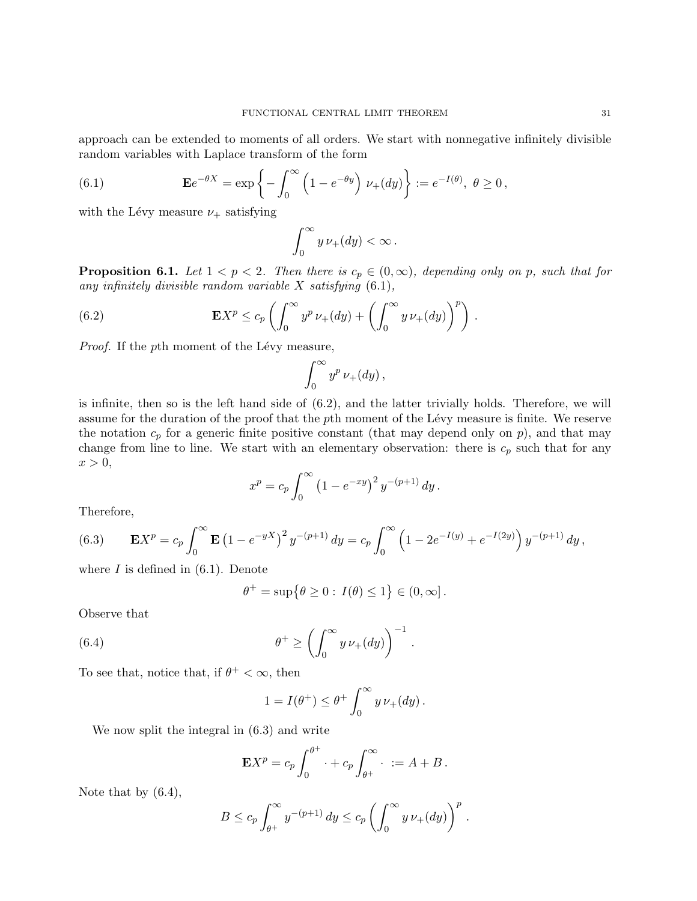approach can be extended to moments of all orders. We start with nonnegative infinitely divisible random variables with Laplace transform of the form

(6.1) 
$$
\mathbf{E}e^{-\theta X} = \exp\left\{-\int_0^\infty \left(1 - e^{-\theta y}\right) \nu_+(dy)\right\} := e^{-I(\theta)}, \ \theta \ge 0,
$$

with the Lévy measure  $\nu_+$  satisfying

$$
\int_0^\infty y\,\nu_+(dy) < \infty\,.
$$

**Proposition 6.1.** Let  $1 < p < 2$ . Then there is  $c_p \in (0, \infty)$ , depending only on p, such that for any infinitely divisible random variable  $X$  satisfying  $(6.1)$ ,

(6.2) 
$$
\mathbf{E}X^p \leq c_p \left( \int_0^\infty y^p \, \nu_+(dy) + \left( \int_0^\infty y \, \nu_+(dy) \right)^p \right).
$$

*Proof.* If the  $p$ th moment of the Lévy measure,

$$
\int_0^\infty y^p \, \nu_+(dy) \,,
$$

is infinite, then so is the left hand side of (6.2), and the latter trivially holds. Therefore, we will assume for the duration of the proof that the pth moment of the Lévy measure is finite. We reserve the notation  $c_p$  for a generic finite positive constant (that may depend only on p), and that may change from line to line. We start with an elementary observation: there is  $c_p$  such that for any  $x > 0$ ,

$$
x^{p} = c_{p} \int_{0}^{\infty} (1 - e^{-xy})^{2} y^{-(p+1)} dy.
$$

Therefore,

(6.3) 
$$
\mathbf{E}X^{p} = c_{p} \int_{0}^{\infty} \mathbf{E} (1 - e^{-yX})^{2} y^{-(p+1)} dy = c_{p} \int_{0}^{\infty} (1 - 2e^{-I(y)} + e^{-I(2y)}) y^{-(p+1)} dy,
$$

where  $I$  is defined in  $(6.1)$ . Denote

$$
\theta^+ = \sup \{ \theta \ge 0 : I(\theta) \le 1 \} \in (0, \infty].
$$

Observe that

(6.4) 
$$
\theta^+ \ge \left(\int_0^\infty y \,\nu_+(dy)\right)^{-1}.
$$

To see that, notice that, if  $\theta^+ < \infty$ , then

$$
1 = I(\theta^+) \leq \theta^+ \int_0^\infty y \, \nu_+(dy).
$$

We now split the integral in (6.3) and write

$$
\mathbf{E}X^p = c_p \int_0^{\theta^+} \cdot + c_p \int_{\theta^+}^{\infty} \cdot \; := A + B \, .
$$

Note that by (6.4),

$$
B \leq c_p \int_{\theta^+}^{\infty} y^{-(p+1)} dy \leq c_p \left( \int_0^{\infty} y \, \nu_+(dy) \right)^p.
$$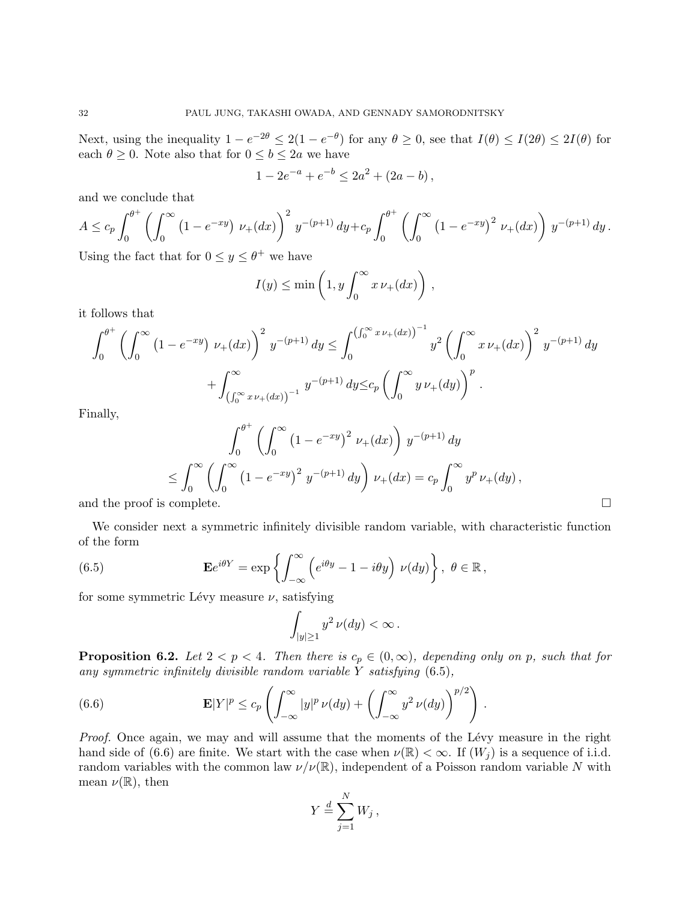Next, using the inequality  $1 - e^{-2\theta} \le 2(1 - e^{-\theta})$  for any  $\theta \ge 0$ , see that  $I(\theta) \le I(2\theta) \le 2I(\theta)$  for each  $\theta \geq 0$ . Note also that for  $0 \leq b \leq 2a$  we have

$$
1 - 2e^{-a} + e^{-b} \le 2a^2 + (2a - b),
$$

and we conclude that

$$
A \leq c_p \int_0^{\theta^+} \left( \int_0^{\infty} \left( 1 - e^{-xy} \right) \nu_+(dx) \right)^2 y^{-(p+1)} dy + c_p \int_0^{\theta^+} \left( \int_0^{\infty} \left( 1 - e^{-xy} \right)^2 \nu_+(dx) \right) y^{-(p+1)} dy.
$$

Using the fact that for  $0 \le y \le \theta^+$  we have

$$
I(y) \le \min\left(1, y \int_0^\infty x \, \nu_+(dx)\right),
$$

it follows that

$$
\int_0^{\theta^+} \left( \int_0^\infty (1 - e^{-xy}) \nu_+(dx) \right)^2 y^{-(p+1)} dy \le \int_0^{\left( \int_0^\infty x \nu_+(dx) \right)^{-1}} y^2 \left( \int_0^\infty x \nu_+(dx) \right)^2 y^{-(p+1)} dy
$$

$$
+ \int_{\left( \int_0^\infty x \nu_+(dx) \right)^{-1}} y^{-(p+1)} dy \le c_p \left( \int_0^\infty y \nu_+(dy) \right)^p.
$$

Finally,

$$
\int_0^{\theta^+} \left( \int_0^\infty (1 - e^{-xy})^2 \ \nu_+(dx) \right) y^{-(p+1)} dy
$$
  
\n
$$
\leq \int_0^\infty \left( \int_0^\infty (1 - e^{-xy})^2 \ y^{-(p+1)} dy \right) \nu_+(dx) = c_p \int_0^\infty y^p \ \nu_+(dy),
$$
  
\nand the proof is complete.

We consider next a symmetric infinitely divisible random variable, with characteristic function of the form

(6.5) 
$$
\mathbf{E}e^{i\theta Y} = \exp\left\{ \int_{-\infty}^{\infty} \left( e^{i\theta y} - 1 - i\theta y \right) \nu(dy) \right\}, \ \theta \in \mathbb{R},
$$

for some symmetric Lévy measure  $\nu$ , satisfying

$$
\int_{|y|\geq 1} y^2 \, \nu(dy) < \infty \, .
$$

**Proposition 6.2.** Let  $2 < p < 4$ . Then there is  $c_p \in (0, \infty)$ , depending only on p, such that for any symmetric infinitely divisible random variable  $Y$  satisfying  $(6.5)$ ,

(6.6) 
$$
\mathbf{E}|Y|^p \leq c_p \left( \int_{-\infty}^{\infty} |y|^p \, \nu(dy) + \left( \int_{-\infty}^{\infty} y^2 \, \nu(dy) \right)^{p/2} \right).
$$

Proof. Once again, we may and will assume that the moments of the Lévy measure in the right hand side of (6.6) are finite. We start with the case when  $\nu(\mathbb{R}) < \infty$ . If  $(W_i)$  is a sequence of i.i.d. random variables with the common law  $\nu/\nu(\mathbb{R})$ , independent of a Poisson random variable N with mean  $\nu(\mathbb{R})$ , then

$$
Y \stackrel{d}{=} \sum_{j=1}^{N} W_j \,,
$$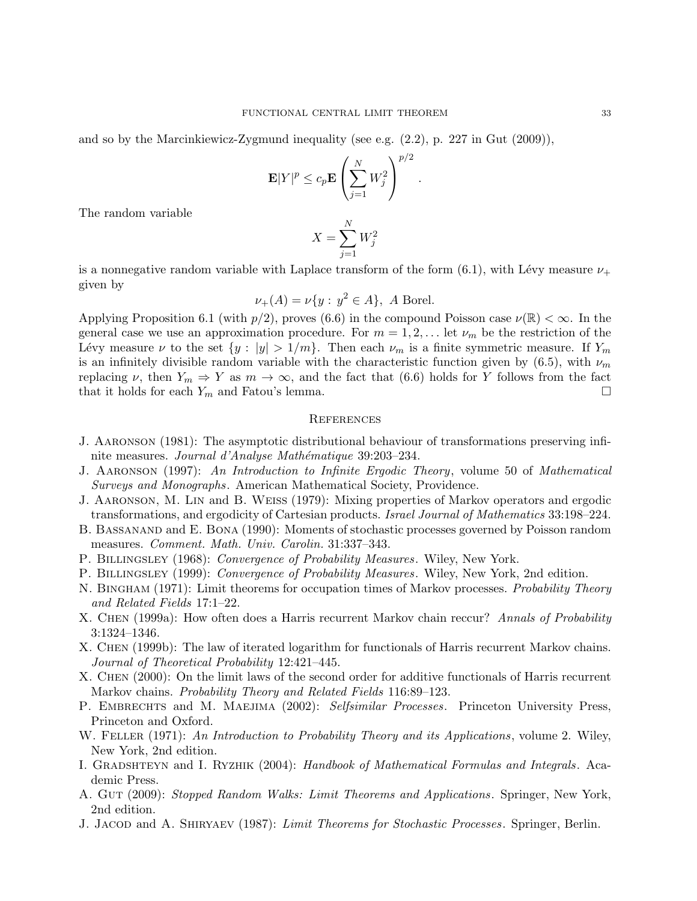and so by the Marcinkiewicz-Zygmund inequality (see e.g. (2.2), p. 227 in Gut (2009)),

$$
\mathbf{E}|Y|^p \le c_p \mathbf{E}\left(\sum_{j=1}^N W_j^2\right)^{p/2}
$$

.

The random variable

$$
X = \sum_{j=1}^{N} W_j^2
$$

is a nonnegative random variable with Laplace transform of the form  $(6.1)$ , with Lévy measure  $\nu_+$ given by

$$
\nu_+(A) = \nu\{y : y^2 \in A\}, \ A \text{ Borel.}
$$

Applying Proposition 6.1 (with  $p/2$ ), proves (6.6) in the compound Poisson case  $\nu(\mathbb{R}) < \infty$ . In the general case we use an approximation procedure. For  $m = 1, 2, \ldots$  let  $\nu_m$  be the restriction of the Lévy measure  $\nu$  to the set  $\{y : |y| > 1/m\}$ . Then each  $\nu_m$  is a finite symmetric measure. If  $Y_m$ is an infinitely divisible random variable with the characteristic function given by (6.5), with  $\nu_m$ replacing  $\nu$ , then  $Y_m \Rightarrow Y$  as  $m \to \infty$ , and the fact that (6.6) holds for Y follows from the fact that it holds for each  $Y_m$  and Fatou's lemma.

### **REFERENCES**

- J. Aaronson (1981): The asymptotic distributional behaviour of transformations preserving infinite measures. Journal d'Analyse Mathématique 39:203–234.
- J. Aaronson (1997): An Introduction to Infinite Ergodic Theory, volume 50 of Mathematical Surveys and Monographs. American Mathematical Society, Providence.
- J. Aaronson, M. Lin and B. Weiss (1979): Mixing properties of Markov operators and ergodic transformations, and ergodicity of Cartesian products. Israel Journal of Mathematics 33:198–224.
- B. Bassanand and E. Bona (1990): Moments of stochastic processes governed by Poisson random measures. Comment. Math. Univ. Carolin. 31:337–343.
- P. BILLINGSLEY (1968): Convergence of Probability Measures. Wiley, New York.
- P. BILLINGSLEY (1999): Convergence of Probability Measures. Wiley, New York, 2nd edition.
- N. BINGHAM (1971): Limit theorems for occupation times of Markov processes. Probability Theory and Related Fields 17:1–22.
- X. CHEN (1999a): How often does a Harris recurrent Markov chain reccur? Annals of Probability 3:1324–1346.
- X. Chen (1999b): The law of iterated logarithm for functionals of Harris recurrent Markov chains. Journal of Theoretical Probability 12:421–445.
- X. Chen (2000): On the limit laws of the second order for additive functionals of Harris recurrent Markov chains. Probability Theory and Related Fields 116:89–123.
- P. EMBRECHTS and M. MAEJIMA (2002): Selfsimilar Processes. Princeton University Press, Princeton and Oxford.
- W. FELLER (1971): An Introduction to Probability Theory and its Applications, volume 2. Wiley, New York, 2nd edition.
- I. GRADSHTEYN and I. RYZHIK (2004): Handbook of Mathematical Formulas and Integrals. Academic Press.
- A. GUT (2009): Stopped Random Walks: Limit Theorems and Applications. Springer, New York, 2nd edition.
- J. JACOD and A. SHIRYAEV (1987): Limit Theorems for Stochastic Processes. Springer, Berlin.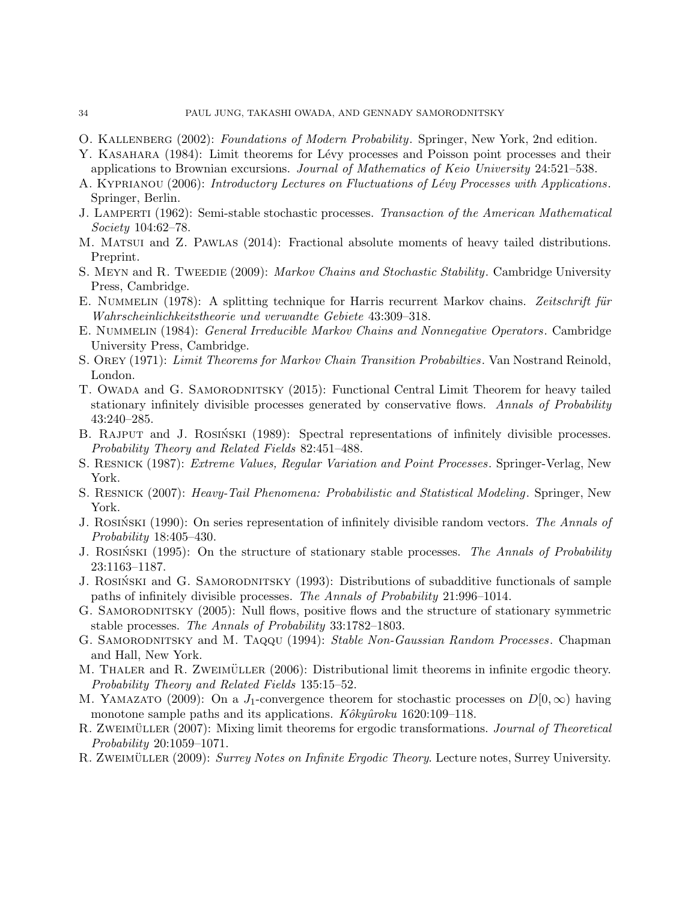- O. KALLENBERG (2002): Foundations of Modern Probability. Springer, New York, 2nd edition.
- Y. KASAHARA (1984): Limit theorems for Lévy processes and Poisson point processes and their applications to Brownian excursions. Journal of Mathematics of Keio University 24:521–538.
- A. KYPRIANOU (2006): Introductory Lectures on Fluctuations of Lévy Processes with Applications. Springer, Berlin.
- J. LAMPERTI (1962): Semi-stable stochastic processes. Transaction of the American Mathematical Society 104:62–78.
- M. Matsui and Z. Pawlas (2014): Fractional absolute moments of heavy tailed distributions. Preprint.
- S. MEYN and R. TWEEDIE (2009): Markov Chains and Stochastic Stability. Cambridge University Press, Cambridge.
- E. NUMMELIN (1978): A splitting technique for Harris recurrent Markov chains. Zeitschrift für Wahrscheinlichkeitstheorie und verwandte Gebiete 43:309–318.
- E. Nummelin (1984): General Irreducible Markov Chains and Nonnegative Operators. Cambridge University Press, Cambridge.
- S. OREY (1971): Limit Theorems for Markov Chain Transition Probabilties. Van Nostrand Reinold, London.
- T. OWADA and G. SAMORODNITSKY (2015): Functional Central Limit Theorem for heavy tailed stationary infinitely divisible processes generated by conservative flows. Annals of Probability 43:240–285.
- B. RAJPUT and J. ROSINSKI (1989): Spectral representations of infinitely divisible processes. Probability Theory and Related Fields 82:451–488.
- S. RESNICK (1987): *Extreme Values, Regular Variation and Point Processes*. Springer-Verlag, New York.
- S. Resnick (2007): Heavy-Tail Phenomena: Probabilistic and Statistical Modeling. Springer, New York.
- J. ROSINSKI (1990): On series representation of infinitely divisible random vectors. The Annals of Probability 18:405–430.
- J. ROSINSKI (1995): On the structure of stationary stable processes. The Annals of Probability 23:1163–1187.
- J. ROSINSKI and G. SAMORODNITSKY (1993): Distributions of subadditive functionals of sample paths of infinitely divisible processes. The Annals of Probability 21:996–1014.
- G. SAMORODNITSKY (2005): Null flows, positive flows and the structure of stationary symmetric stable processes. The Annals of Probability 33:1782–1803.
- G. SAMORODNITSKY and M. TAQQU (1994): Stable Non-Gaussian Random Processes. Chapman and Hall, New York.
- M. THALER and R. ZWEIMÜLLER (2006): Distributional limit theorems in infinite ergodic theory. Probability Theory and Related Fields 135:15–52.
- M. YAMAZATO (2009): On a J<sub>1</sub>-convergence theorem for stochastic processes on  $D[0,\infty)$  having monotone sample paths and its applications.  $K \delta k y \hat{u} \gamma k u$  1620:109–118.
- R. ZWEIMÜLLER (2007): Mixing limit theorems for ergodic transformations. *Journal of Theoretical* Probability 20:1059–1071.
- R. ZWEIMÜLLER (2009): Surrey Notes on Infinite Ergodic Theory. Lecture notes, Surrey University.